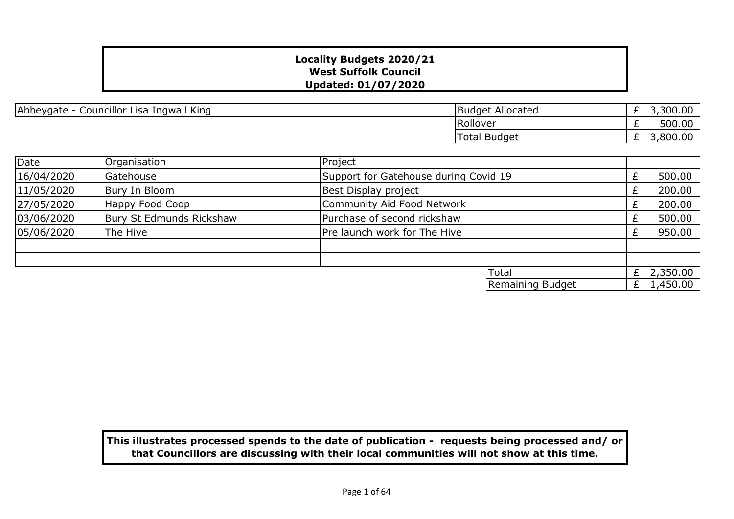| Ingwall King<br>Councillor <sup>1</sup><br>Abbeygate<br>Lisa | Allocated<br>.Budaet | 3,300.00<br>$\sim$<br>_ |
|--------------------------------------------------------------|----------------------|-------------------------|
|                                                              | <b>IRollover</b>     | 500.00<br>_             |
|                                                              | <b>Total Budget</b>  | 3,800.00<br>_           |

| Date       | Organisation             | Project                               |  |            |
|------------|--------------------------|---------------------------------------|--|------------|
| 16/04/2020 | Gatehouse                | Support for Gatehouse during Covid 19 |  | 500.00     |
| 11/05/2020 | Bury In Bloom            | Best Display project                  |  | 200.00     |
| 27/05/2020 | Happy Food Coop          | Community Aid Food Network            |  | 200.00     |
| 03/06/2020 | Bury St Edmunds Rickshaw | Purchase of second rickshaw           |  | 500.00     |
| 05/06/2020 | The Hive                 | Pre launch work for The Hive          |  | 950.00     |
|            |                          |                                       |  |            |
|            |                          |                                       |  |            |
|            |                          | <b>Total</b>                          |  | £ 2,350.00 |
|            |                          | Remaining Budget                      |  | 1,450.00   |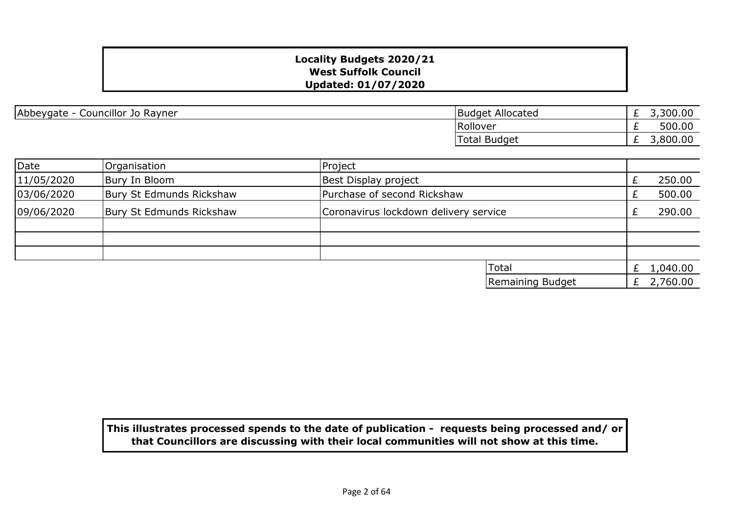| Abbeygate - Councillor Jo Rayner | Budget Allocated |
|----------------------------------|------------------|
|----------------------------------|------------------|

| <b>Budget Allocated</b> | 3,300.00 |
|-------------------------|----------|
| Rollover                | 500.00   |
| Total Budget            | 3,800.00 |

| Date       | Organisation             | Project                               |              |
|------------|--------------------------|---------------------------------------|--------------|
| 11/05/2020 | Bury In Bloom            | Best Display project                  | 250.00       |
| 03/06/2020 | Bury St Edmunds Rickshaw | Purchase of second Rickshaw           | 500.00       |
| 09/06/2020 | Bury St Edmunds Rickshaw | Coronavirus lockdown delivery service | 290.00       |
|            |                          |                                       |              |
|            |                          |                                       |              |
|            |                          |                                       |              |
|            |                          | <b>Total</b>                          | 1,040.00     |
|            |                          | Remaining Budget                      | £ $2,760.00$ |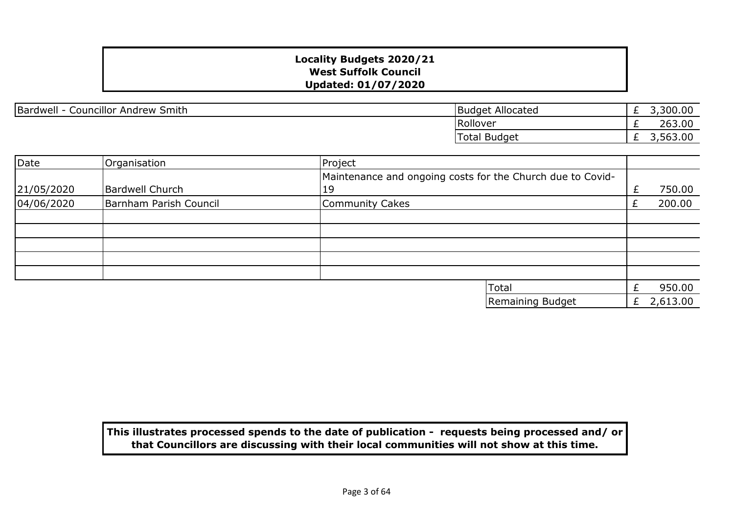Bardwell - Councillor Andrew Smith

| <b>Budget Allocated</b> | 3,300.00 |
|-------------------------|----------|
| Rollover                | 263.00   |
| Total Budget            | 3,563,00 |

| Date       | Organisation           | Project                                                    |   |          |
|------------|------------------------|------------------------------------------------------------|---|----------|
|            |                        | Maintenance and ongoing costs for the Church due to Covid- |   |          |
| 21/05/2020 | <b>Bardwell Church</b> | 19                                                         | £ | 750.00   |
| 04/06/2020 | Barnham Parish Council | Community Cakes                                            |   | 200.00   |
|            |                        |                                                            |   |          |
|            |                        |                                                            |   |          |
|            |                        |                                                            |   |          |
|            |                        |                                                            |   |          |
|            |                        |                                                            |   |          |
|            |                        | Total                                                      |   | 950.00   |
|            |                        | Remaining Budget                                           | £ | 2,613.00 |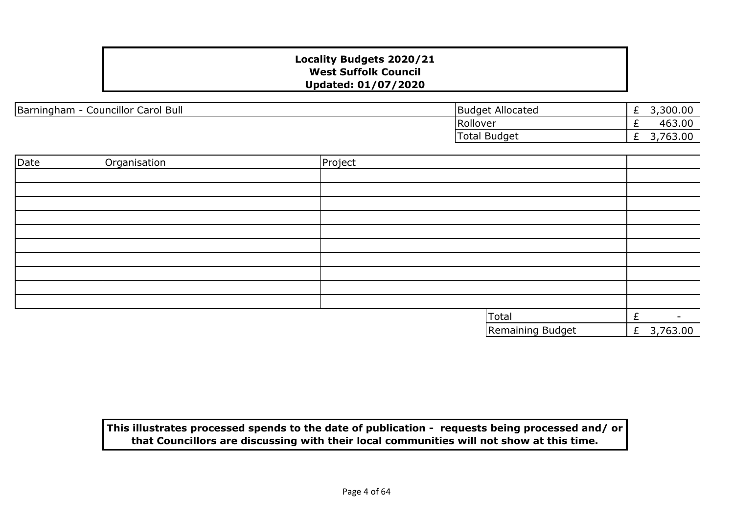| Bull<br>Barningham<br>Carol<br>Councillor C | Allocated<br><b>Budget</b> | _ | ,300.00                                                     |
|---------------------------------------------|----------------------------|---|-------------------------------------------------------------|
|                                             | Rollover                   | - | 463.00                                                      |
|                                             | <b>Budget</b><br>Total     | _ | nn<br>$\overline{\phantom{a}}$<br><u>ь</u><br>. vu. vv<br>- |

| Date | Organisation | Project |                  |                          |
|------|--------------|---------|------------------|--------------------------|
|      |              |         |                  |                          |
|      |              |         |                  |                          |
|      |              |         |                  |                          |
|      |              |         |                  |                          |
|      |              |         |                  |                          |
|      |              |         |                  |                          |
|      |              |         |                  |                          |
|      |              |         |                  |                          |
|      |              |         |                  |                          |
|      |              |         |                  |                          |
|      |              |         | Total            | $\overline{\phantom{0}}$ |
|      |              |         | Remaining Budget | 3,763.00<br>$\mathbf{f}$ |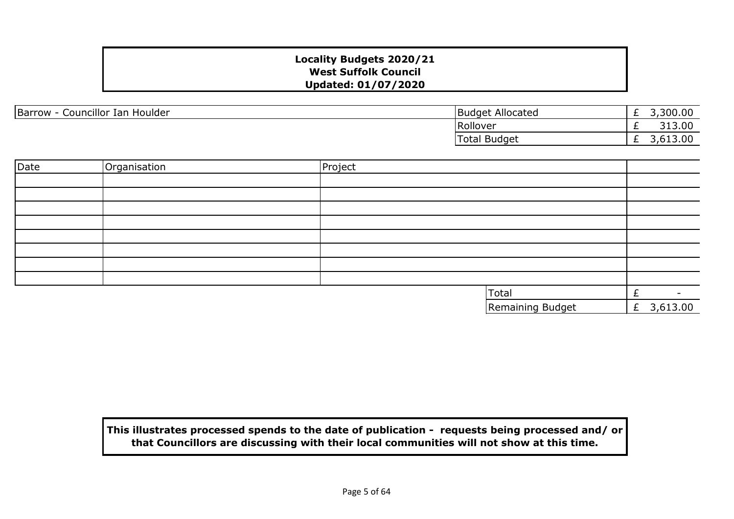| Councillor Ian Houlder<br>Barrow<br>$\sim$ | Budget Allocated | -        | 300.00<br>300 |
|--------------------------------------------|------------------|----------|---------------|
|                                            | Rollover         | _        | 313.00        |
|                                            | Total Budget     | <u>_</u> | 13.00.د.ر     |

| Date | Organisation | Project |                  |           |                          |
|------|--------------|---------|------------------|-----------|--------------------------|
|      |              |         |                  |           |                          |
|      |              |         |                  |           |                          |
|      |              |         |                  |           |                          |
|      |              |         |                  |           |                          |
|      |              |         |                  |           |                          |
|      |              |         |                  |           |                          |
|      |              |         |                  |           |                          |
|      |              |         |                  |           |                          |
|      |              |         | Total            | $\ddot{}$ | $\overline{\phantom{a}}$ |
|      |              |         | Remaining Budget |           | £ 3,613.00               |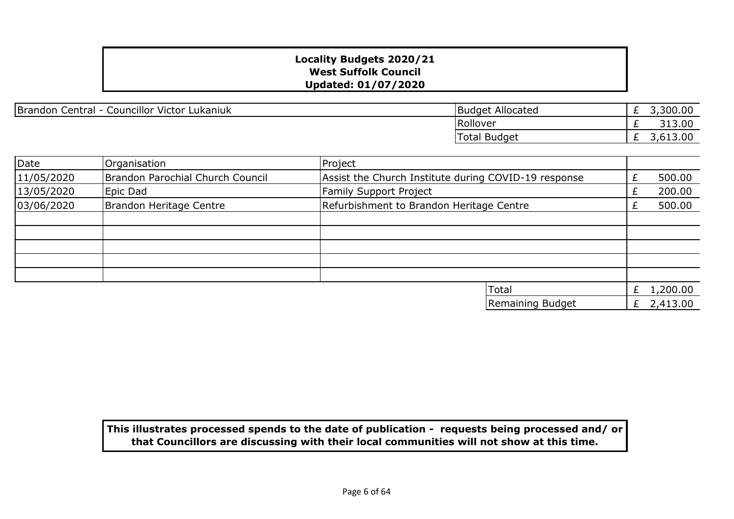Brandon Central - Councillor Victor Lukaniuk

| <b>Budget Allocated</b> | 3,300.00 |
|-------------------------|----------|
| Rollover                | 313.00   |
| Total Budget            | 3,613.00 |

| Date       | Organisation                     | Project                                              |   |          |
|------------|----------------------------------|------------------------------------------------------|---|----------|
| 11/05/2020 | Brandon Parochial Church Council | Assist the Church Institute during COVID-19 response |   | 500.00   |
| 13/05/2020 | Epic Dad                         | Family Support Project                               |   | 200.00   |
| 03/06/2020 | Brandon Heritage Centre          | Refurbishment to Brandon Heritage Centre             |   | 500.00   |
|            |                                  |                                                      |   |          |
|            |                                  |                                                      |   |          |
|            |                                  |                                                      |   |          |
|            |                                  |                                                      |   |          |
|            |                                  |                                                      |   |          |
|            |                                  | <b>Total</b>                                         | £ | 1,200.00 |
|            |                                  | Remaining Budget                                     | £ | 2,413.00 |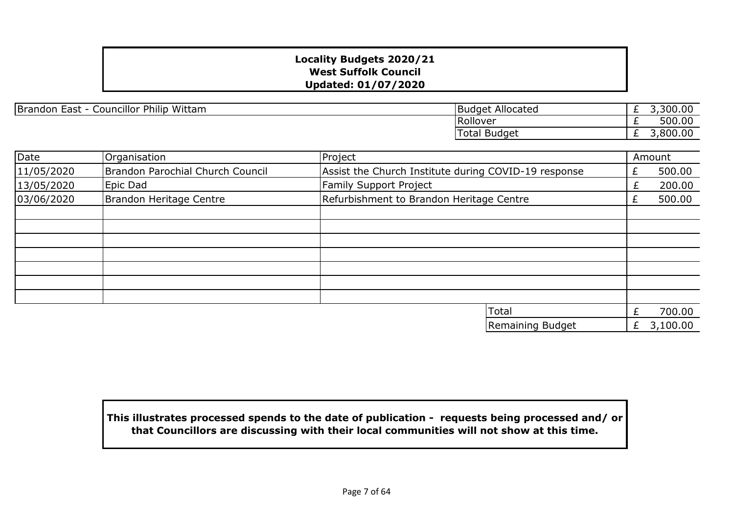Brandon East - Councillor Philip Wittam

| <b>Budget Allocated</b> | 3,300.00 |
|-------------------------|----------|
| Rollover                | 500.00   |
| <b>Total Budget</b>     | 3.800.00 |

| Date       | Organisation                     | Project                                              |   | Amount   |
|------------|----------------------------------|------------------------------------------------------|---|----------|
| 11/05/2020 | Brandon Parochial Church Council | Assist the Church Institute during COVID-19 response |   | 500.00   |
| 13/05/2020 | Epic Dad                         | <b>Family Support Project</b>                        |   | 200.00   |
| 03/06/2020 | Brandon Heritage Centre          | Refurbishment to Brandon Heritage Centre             |   | 500.00   |
|            |                                  |                                                      |   |          |
|            |                                  |                                                      |   |          |
|            |                                  |                                                      |   |          |
|            |                                  |                                                      |   |          |
|            |                                  |                                                      |   |          |
|            |                                  |                                                      |   |          |
|            |                                  |                                                      |   |          |
|            |                                  | <b>Total</b>                                         |   | 700.00   |
|            |                                  | Remaining Budget                                     | £ | 3,100.00 |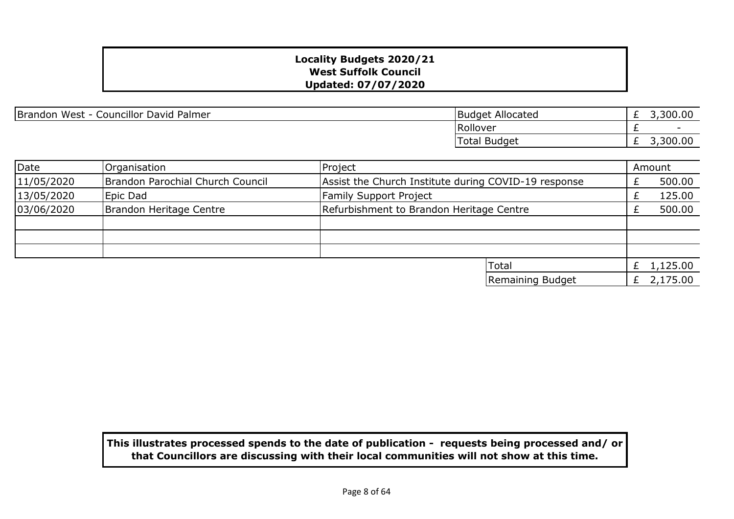| Brandon West - Councillor David Palmer | Budget Allocated |
|----------------------------------------|------------------|
|----------------------------------------|------------------|

| <b>Budget Allocated</b> | 3,300.00   |
|-------------------------|------------|
| <b>Rollover</b>         |            |
| Total Budget            | £ 3,300.00 |

| Date       | Organisation                     | Project                                              |  | Amount       |
|------------|----------------------------------|------------------------------------------------------|--|--------------|
| 11/05/2020 | Brandon Parochial Church Council | Assist the Church Institute during COVID-19 response |  | 500.00       |
| 13/05/2020 | Epic Dad                         | <b>Family Support Project</b>                        |  | 125.00       |
| 03/06/2020 | Brandon Heritage Centre          | Refurbishment to Brandon Heritage Centre             |  | 500.00       |
|            |                                  |                                                      |  |              |
|            |                                  |                                                      |  |              |
|            |                                  |                                                      |  |              |
|            |                                  | <b>Total</b>                                         |  | 1,125.00     |
|            |                                  | Remaining Budget                                     |  | £ $2,175.00$ |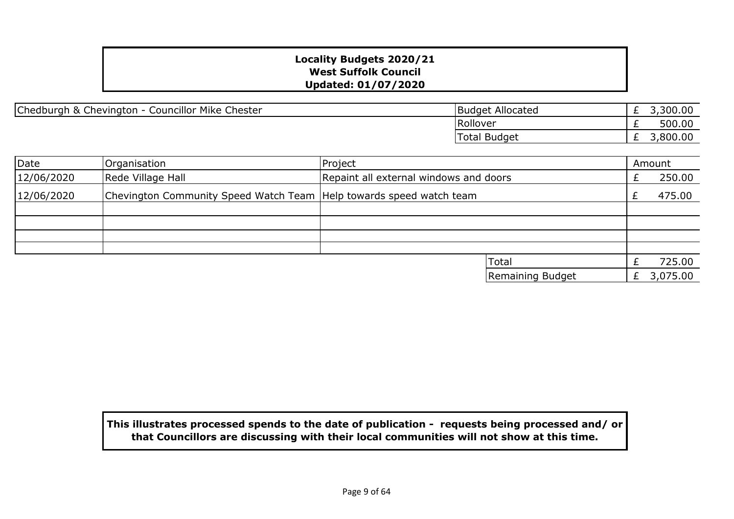Chedburgh & Chevington - Councillor Mike Chester

| Budget Allocated | 3,300.00 |
|------------------|----------|
| Rollover         | 500.00   |
| Total Budget     | 3,800.00 |

| Date       | Organisation                                                          | Project |                                        |   | Amount   |
|------------|-----------------------------------------------------------------------|---------|----------------------------------------|---|----------|
| 12/06/2020 | Rede Village Hall                                                     |         | Repaint all external windows and doors |   |          |
| 12/06/2020 | Chevington Community Speed Watch Team   Help towards speed watch team |         |                                        |   | 475.00   |
|            |                                                                       |         |                                        |   |          |
|            |                                                                       |         |                                        |   |          |
|            |                                                                       |         |                                        |   |          |
|            |                                                                       |         |                                        |   |          |
|            |                                                                       |         | <b>Total</b>                           |   | 725.00   |
|            |                                                                       |         | Remaining Budget                       | £ | 3,075.00 |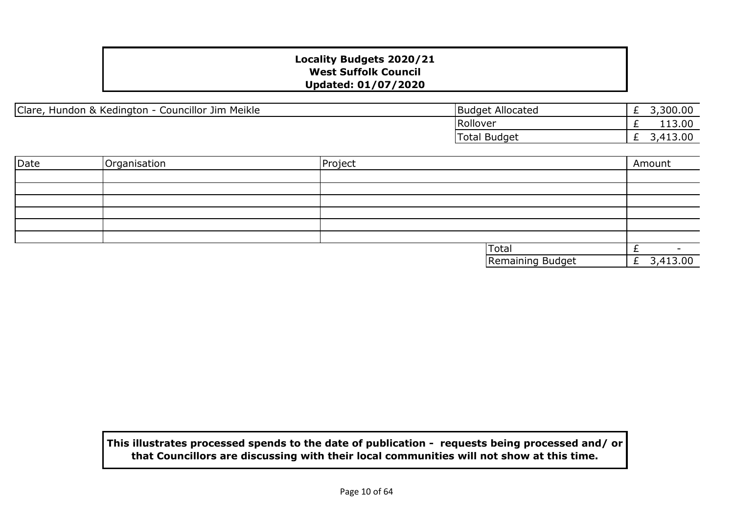Clare, Hundon & Kedington - Councillor Jim Meikle

|                 | <b>Budget Allocated</b> | 3,300.00 |
|-----------------|-------------------------|----------|
| <b>Rollover</b> |                         | 113.00   |
|                 | Total Budget            | 3,413.00 |

| Date | Organisation | Project |                  | Amount       |
|------|--------------|---------|------------------|--------------|
|      |              |         |                  |              |
|      |              |         |                  |              |
|      |              |         |                  |              |
|      |              |         |                  |              |
|      |              |         |                  |              |
|      |              |         |                  |              |
|      |              |         | <b>Total</b>     |              |
|      |              |         | Remaining Budget | £ $3,413.00$ |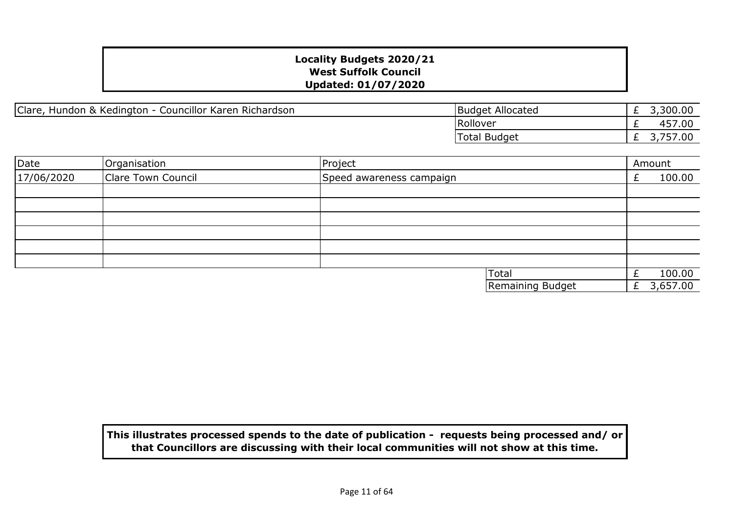Clare, Hundon & Kedington - Councillor Karen Richardson

| <b>Budget Allocated</b> | 3,300.00 |
|-------------------------|----------|
| Rollover                | 457.00   |
| Total Budget            | 3,757.00 |

| Date       | Organisation       | Project                  | Amount   |
|------------|--------------------|--------------------------|----------|
| 17/06/2020 | Clare Town Council | Speed awareness campaign | 100.00   |
|            |                    |                          |          |
|            |                    |                          |          |
|            |                    |                          |          |
|            |                    |                          |          |
|            |                    |                          |          |
|            |                    |                          |          |
|            |                    | Total                    | 100.00   |
|            |                    | Remaining Budget         | 3,657.00 |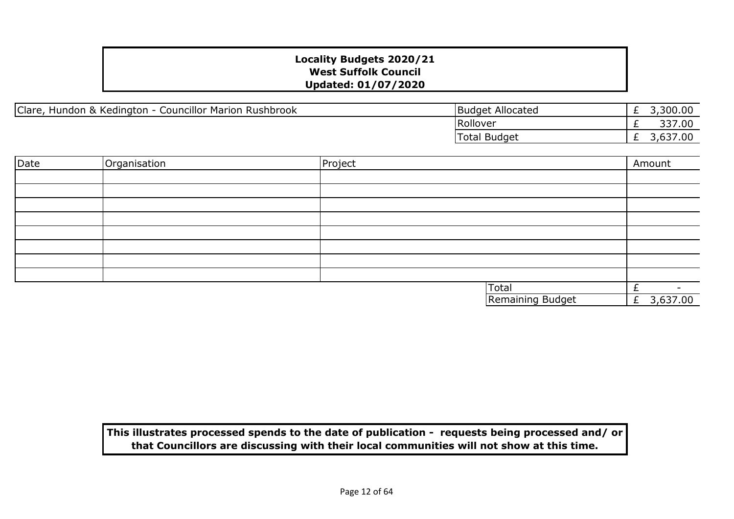| Clare<br><b>Councillor Marion Rushbrook</b><br>Hundon & Kedington | Allocated<br>Budget | - | 3,300,00 |
|-------------------------------------------------------------------|---------------------|---|----------|
|                                                                   | Rollover            | - | 337.00   |
|                                                                   | Total Budget        |   | 7.00     |

| Date | Organisation | Project |                  | Amount                   |
|------|--------------|---------|------------------|--------------------------|
|      |              |         |                  |                          |
|      |              |         |                  |                          |
|      |              |         |                  |                          |
|      |              |         |                  |                          |
|      |              |         |                  |                          |
|      |              |         |                  |                          |
|      |              |         |                  |                          |
|      |              |         |                  |                          |
|      |              |         | Total            | $\overline{\phantom{0}}$ |
|      |              |         | Remaining Budget | 3,637.00<br>£,           |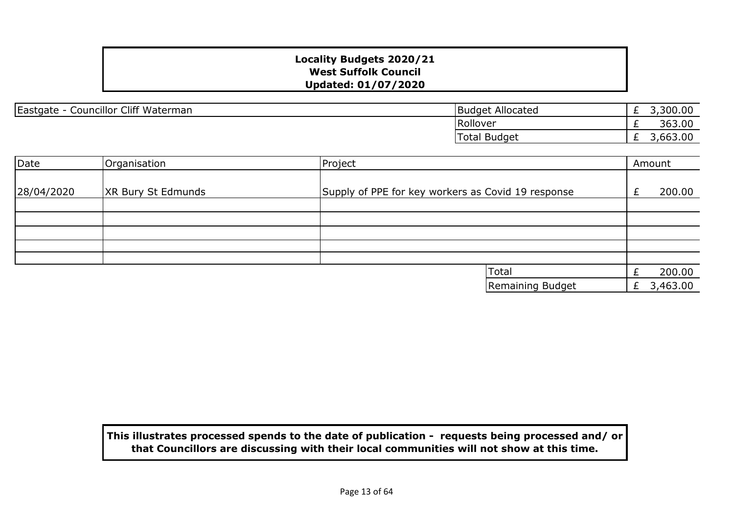Eastgate - Councillor Cliff Waterman Budget Allocated

£ 3,300.00 £ 363.00 £ 3,663.00 Rollover Total Budget

| Date       | Organisation              | Project                                            | Amount |          |
|------------|---------------------------|----------------------------------------------------|--------|----------|
| 28/04/2020 | <b>XR Bury St Edmunds</b> | Supply of PPE for key workers as Covid 19 response |        | 200.00   |
|            |                           |                                                    |        |          |
|            |                           |                                                    |        |          |
|            |                           |                                                    |        |          |
|            |                           |                                                    |        |          |
|            |                           |                                                    |        |          |
|            |                           | Total                                              |        | 200.00   |
|            |                           | Remaining Budget                                   |        | 3,463.00 |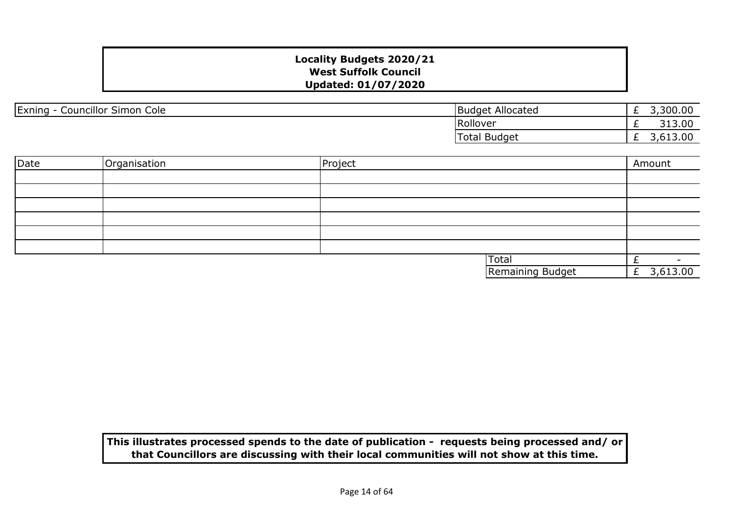| <b>Councillor Simon</b><br>Exning<br>Cole | : Allocated<br>Budget | ,300.00<br>∽<br><u>_</u>          |
|-------------------------------------------|-----------------------|-----------------------------------|
|                                           | Rollover              | 313.00<br><u>_</u>                |
|                                           | <b>Total Budget</b>   | nn<br>$\cdot$ ulu $\cdot$ uu<br>_ |

| Date | Organisation | Project |                         | Amount     |
|------|--------------|---------|-------------------------|------------|
|      |              |         |                         |            |
|      |              |         |                         |            |
|      |              |         |                         |            |
|      |              |         |                         |            |
|      |              |         |                         |            |
|      |              |         |                         |            |
|      |              |         | <b>Total</b>            |            |
|      |              |         | <b>Remaining Budget</b> | £ 3,613.00 |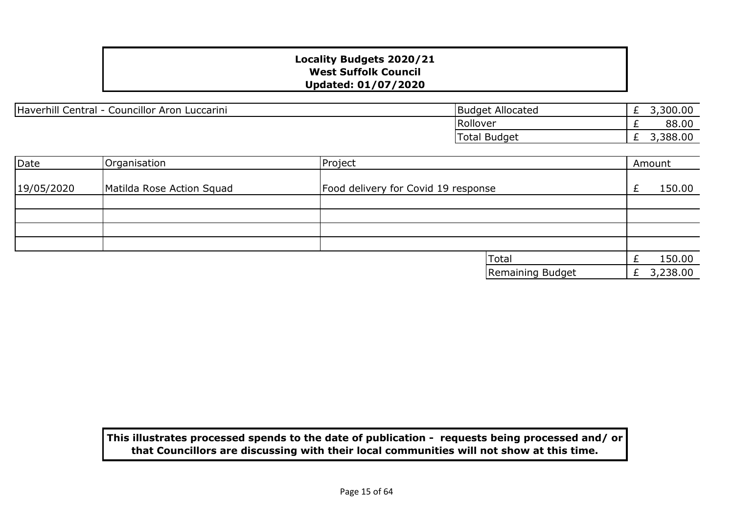Haverhill Central - Councillor Aron Luccarini

| <b>Budget Allocated</b> | 3,300.00 |
|-------------------------|----------|
| Rollover                |          |
| Total Budget            | 3,388.00 |

| Date       | Organisation              | Project |                                     |   | Amount   |
|------------|---------------------------|---------|-------------------------------------|---|----------|
| 19/05/2020 | Matilda Rose Action Squad |         | Food delivery for Covid 19 response |   | 150.00   |
|            |                           |         |                                     |   |          |
|            |                           |         |                                     |   |          |
|            |                           |         |                                     |   |          |
|            |                           |         |                                     |   |          |
|            |                           |         | Total                               |   | 150.00   |
|            |                           |         | Remaining Budget                    | £ | 3,238.00 |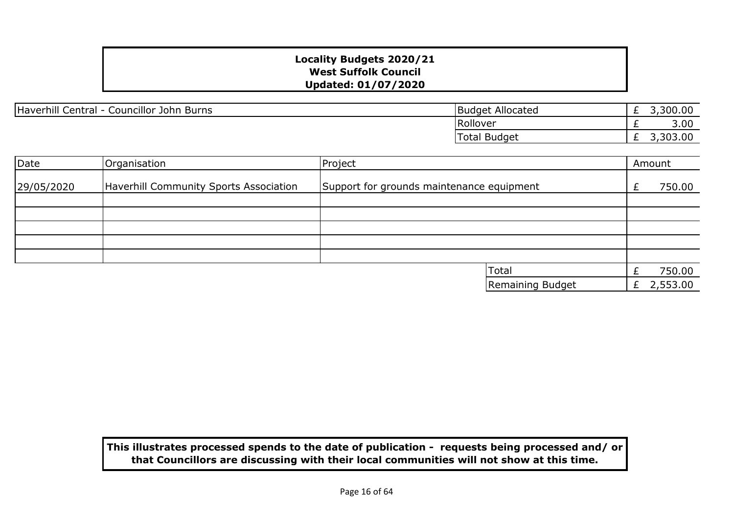Haverhill Central - Councillor John Burns Burns Budget Allocated

£ 3,300.00 £ 3.00 £ 3,303.00 Rollover Total Budget

| Date       | Organisation                           | Project                                   |   | Amount   |
|------------|----------------------------------------|-------------------------------------------|---|----------|
| 29/05/2020 | Haverhill Community Sports Association | Support for grounds maintenance equipment |   | 750.00   |
|            |                                        |                                           |   |          |
|            |                                        |                                           |   |          |
|            |                                        |                                           |   |          |
|            |                                        |                                           |   |          |
|            |                                        |                                           |   |          |
|            |                                        | Total                                     |   | 750.00   |
|            |                                        | Remaining Budget                          | £ | 2,553.00 |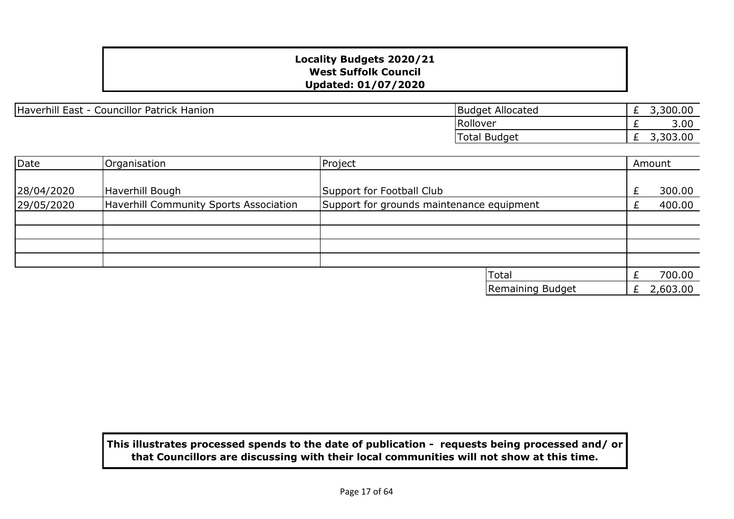Haverhill East - Councillor Patrick Hanion

| <b>Budget Allocated</b> | 3,300.00 |
|-------------------------|----------|
| <b>Rollover</b>         |          |
| Total Budget            | 3,303.00 |

| Date       | Organisation                           | Project                                   |                  | Amount |          |
|------------|----------------------------------------|-------------------------------------------|------------------|--------|----------|
|            |                                        |                                           |                  |        |          |
| 28/04/2020 | Haverhill Bough                        | Support for Football Club                 |                  |        | 300.00   |
| 29/05/2020 | Haverhill Community Sports Association | Support for grounds maintenance equipment |                  |        | 400.00   |
|            |                                        |                                           |                  |        |          |
|            |                                        |                                           |                  |        |          |
|            |                                        |                                           |                  |        |          |
|            |                                        |                                           |                  |        |          |
|            |                                        |                                           | Total            |        | 700.00   |
|            |                                        |                                           | Remaining Budget |        | 2,603.00 |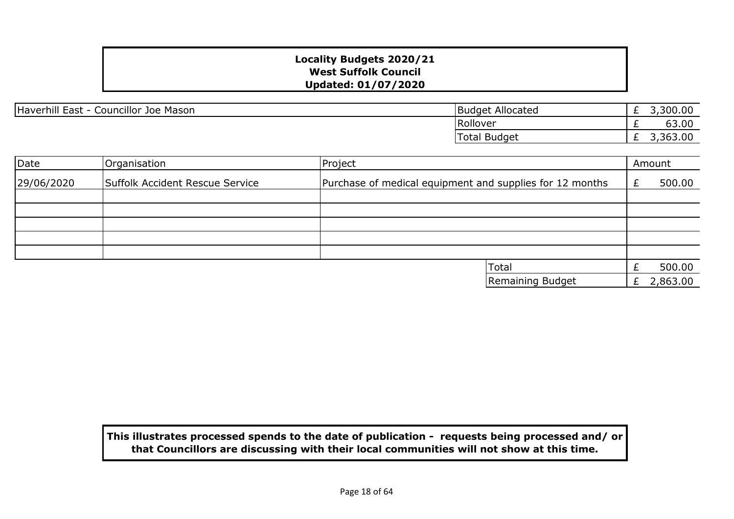Haverhill East - Councillor Joe Mason Budget Allocated

£ 3,300.00 £ 63.00 £ 3,363.00 Rollover Total Budget

| Date       | Organisation                    | Project          |                                                          |  | Amount   |
|------------|---------------------------------|------------------|----------------------------------------------------------|--|----------|
| 29/06/2020 | Suffolk Accident Rescue Service |                  | Purchase of medical equipment and supplies for 12 months |  | 500.00   |
|            |                                 |                  |                                                          |  |          |
|            |                                 |                  |                                                          |  |          |
|            |                                 |                  |                                                          |  |          |
|            |                                 |                  |                                                          |  |          |
|            |                                 |                  |                                                          |  |          |
|            |                                 | <b>Total</b>     |                                                          |  | 500.00   |
|            |                                 | Remaining Budget |                                                          |  | 2,863.00 |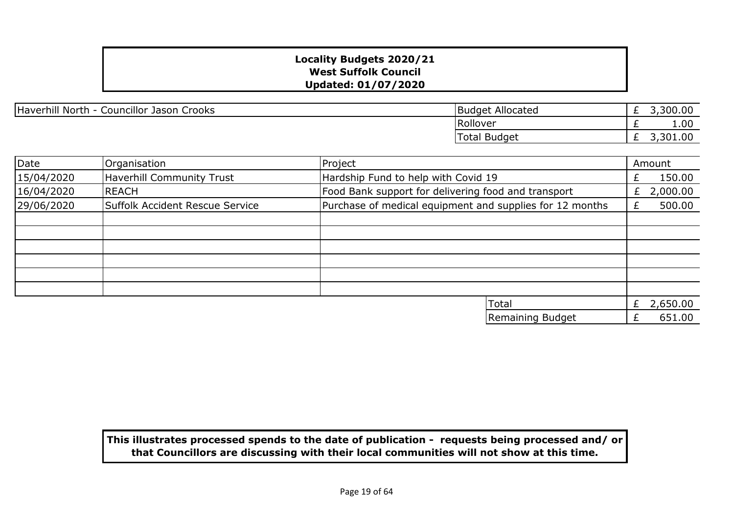| Haverhill North - Councillor Jason Crooks | <b>Budget Allocated</b> |
|-------------------------------------------|-------------------------|
|-------------------------------------------|-------------------------|

| <b>Budget Allocated</b> | 3,300.00 |
|-------------------------|----------|
| Rollover                |          |
| Total Budget            | 3,301.00 |

| Date       | Organisation                     | Project                                                  | Amount         |
|------------|----------------------------------|----------------------------------------------------------|----------------|
| 15/04/2020 | <b>Haverhill Community Trust</b> | Hardship Fund to help with Covid 19                      | 150.00         |
| 16/04/2020 | REACH                            | Food Bank support for delivering food and transport      | 2,000.00<br>£. |
| 29/06/2020 | Suffolk Accident Rescue Service  | Purchase of medical equipment and supplies for 12 months | 500.00         |
|            |                                  |                                                          |                |
|            |                                  |                                                          |                |
|            |                                  |                                                          |                |
|            |                                  |                                                          |                |
|            |                                  |                                                          |                |
|            |                                  |                                                          |                |
|            |                                  | Total                                                    | 2,650.00<br>£  |
|            |                                  | Remaining Budget                                         | 651.00         |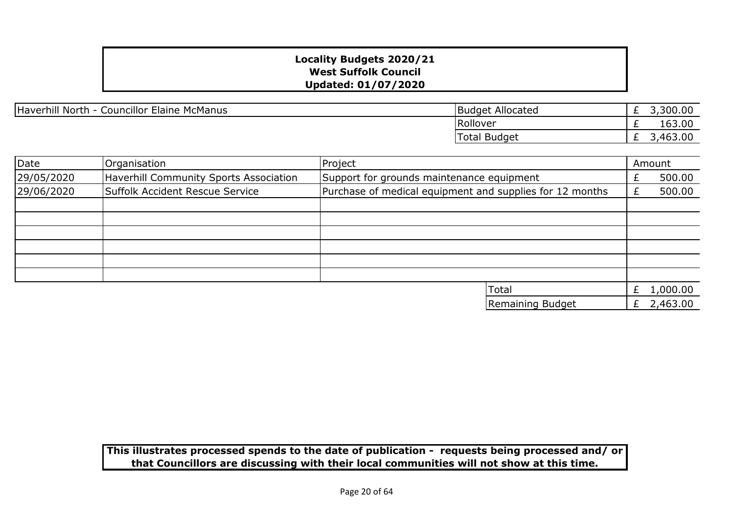Haverhill North - Councillor Elaine McManus

| <b>Budget Allocated</b> | 3,300.00 |
|-------------------------|----------|
| Rollover                | 163.00   |
| Total Budget            | 3,463.00 |

| Date       | Organisation                           | Project                                                  |   | Amount   |
|------------|----------------------------------------|----------------------------------------------------------|---|----------|
| 29/05/2020 | Haverhill Community Sports Association | Support for grounds maintenance equipment                |   | 500.00   |
| 29/06/2020 | Suffolk Accident Rescue Service        | Purchase of medical equipment and supplies for 12 months |   | 500.00   |
|            |                                        |                                                          |   |          |
|            |                                        |                                                          |   |          |
|            |                                        |                                                          |   |          |
|            |                                        |                                                          |   |          |
|            |                                        |                                                          |   |          |
|            |                                        |                                                          |   |          |
|            |                                        | Total                                                    | £ | 1,000.00 |
|            |                                        | Remaining Budget                                         | £ | 2,463.00 |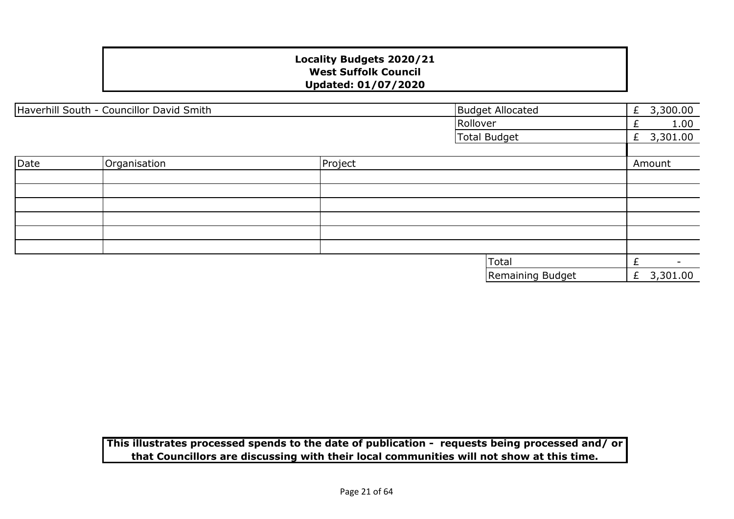|      | Haverhill South - Councillor David Smith |         | <b>Budget Allocated</b> | 3,300.00<br>£ |
|------|------------------------------------------|---------|-------------------------|---------------|
|      |                                          |         | Rollover                | 1.00          |
|      |                                          |         | <b>Total Budget</b>     | 3,301.00<br>£ |
|      |                                          |         |                         |               |
| Date | Organisation                             | Project |                         | Amount        |
|      |                                          |         |                         |               |
|      |                                          |         |                         |               |
|      |                                          |         |                         |               |
|      |                                          |         |                         |               |
|      |                                          |         |                         |               |
|      |                                          |         |                         |               |
|      |                                          |         | Total                   |               |
|      |                                          |         | Remaining Budget        | 3,301.00<br>£ |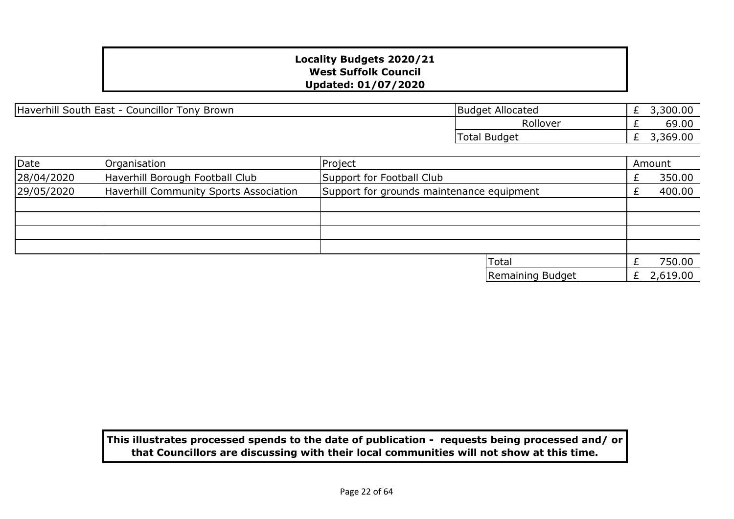Haverhill South East - Councillor Tony Brown

| <b>Budget Allocated</b> | 3,300.00 |
|-------------------------|----------|
| Rollover                |          |
| Total Budget            | 3,369.00 |

| Date       | Organisation                           | Project                                   |                  |   | Amount   |
|------------|----------------------------------------|-------------------------------------------|------------------|---|----------|
| 28/04/2020 | Haverhill Borough Football Club        | Support for Football Club                 |                  |   | 350.00   |
| 29/05/2020 | Haverhill Community Sports Association | Support for grounds maintenance equipment |                  |   | 400.00   |
|            |                                        |                                           |                  |   |          |
|            |                                        |                                           |                  |   |          |
|            |                                        |                                           |                  |   |          |
|            |                                        |                                           |                  |   |          |
|            |                                        |                                           | <b>Total</b>     |   | 750.00   |
|            |                                        |                                           | Remaining Budget | £ | 2,619.00 |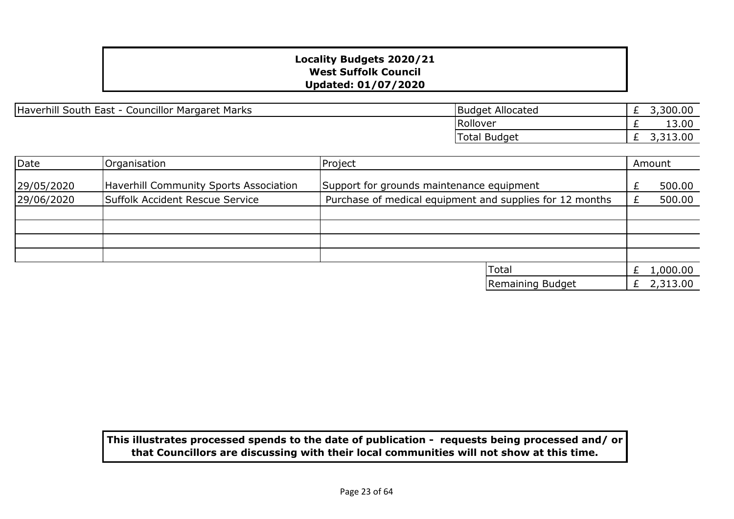Haverhill South East - Councillor Margaret Marks

| <b>Budget Allocated</b> | 3,300.00 |
|-------------------------|----------|
| Rollover                | 13.00    |
| <b>Total Budget</b>     | 3,313.00 |

| Date       | Organisation                           | Project                                                  |                  |   |          |
|------------|----------------------------------------|----------------------------------------------------------|------------------|---|----------|
| 29/05/2020 | Haverhill Community Sports Association | Support for grounds maintenance equipment                |                  |   | 500.00   |
| 29/06/2020 | Suffolk Accident Rescue Service        | Purchase of medical equipment and supplies for 12 months |                  |   | 500.00   |
|            |                                        |                                                          |                  |   |          |
|            |                                        |                                                          |                  |   |          |
|            |                                        |                                                          |                  |   |          |
|            |                                        |                                                          |                  |   |          |
|            |                                        |                                                          | Total            |   | 1,000.00 |
|            |                                        |                                                          | Remaining Budget | £ | 2,313.00 |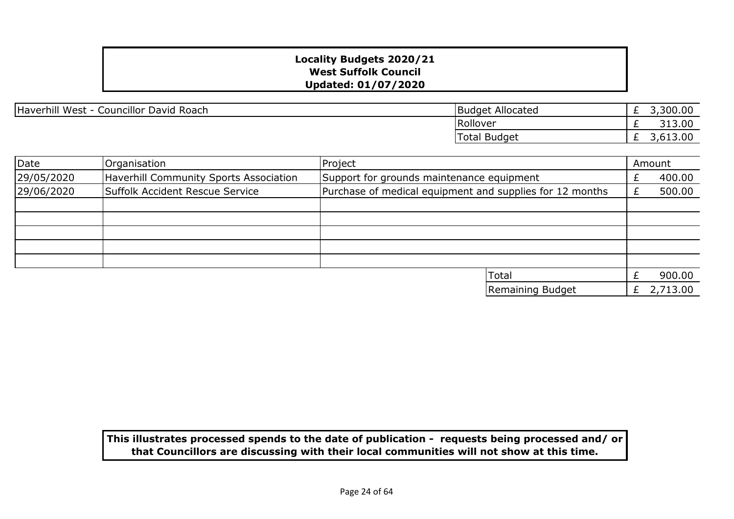| Haverhill West - Councillor David Roach | Budget Allocated |
|-----------------------------------------|------------------|
|-----------------------------------------|------------------|

| <b>Budget Allocated</b> | 3,300.00 |
|-------------------------|----------|
| Rollover                | 313.00   |
| Total Budget            | 3,613,00 |

| Date       | Organisation                                  | Project                                                  |  | Amount   |  |
|------------|-----------------------------------------------|----------------------------------------------------------|--|----------|--|
| 29/05/2020 | <b>Haverhill Community Sports Association</b> | Support for grounds maintenance equipment                |  | 400.00   |  |
| 29/06/2020 | Suffolk Accident Rescue Service               | Purchase of medical equipment and supplies for 12 months |  | 500.00   |  |
|            |                                               |                                                          |  |          |  |
|            |                                               |                                                          |  |          |  |
|            |                                               |                                                          |  |          |  |
|            |                                               |                                                          |  |          |  |
|            |                                               |                                                          |  |          |  |
|            |                                               | <b>Total</b>                                             |  | 900.00   |  |
|            |                                               | Remaining Budget                                         |  | 2,713.00 |  |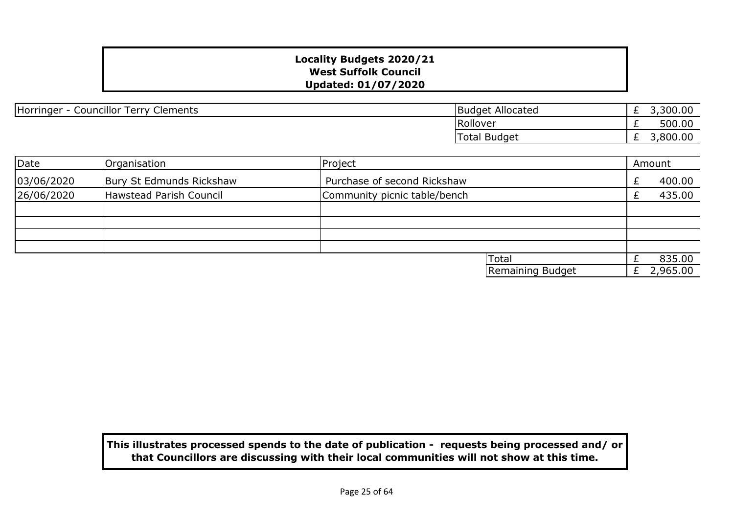| Councillor Terry C<br>Horringer<br>Clements | Budget Allocated | <u>_</u> | 300.00 |
|---------------------------------------------|------------------|----------|--------|
|                                             | Rollover         | _        | 500.00 |
|                                             | Budget<br>Total  | _        | 800.00 |

| Date       | Organisation             | Project                      | Amount   |
|------------|--------------------------|------------------------------|----------|
| 03/06/2020 | Bury St Edmunds Rickshaw | Purchase of second Rickshaw  | 400.00   |
| 26/06/2020 | Hawstead Parish Council  | Community picnic table/bench | 435.00   |
|            |                          |                              |          |
|            |                          |                              |          |
|            |                          |                              |          |
|            |                          |                              |          |
|            |                          | Total                        | 835.00   |
|            |                          | Remaining Budget             | 2,965.00 |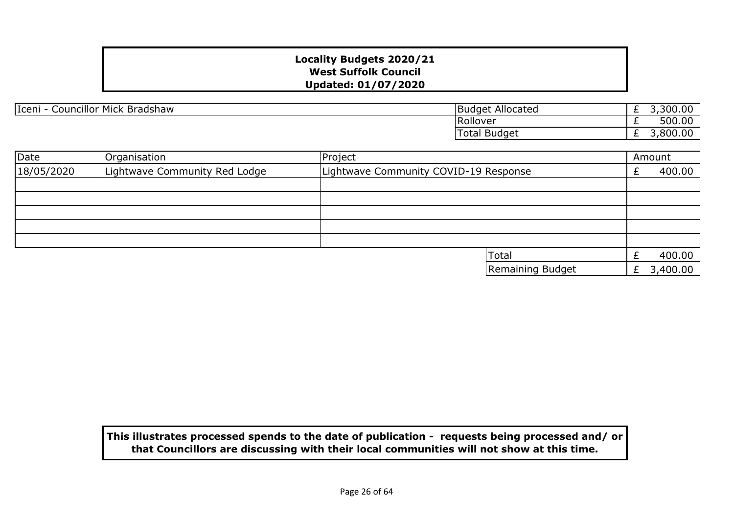|  | Iceni - Councillor Mick Bradshaw | <b>Budget Allocated</b> |
|--|----------------------------------|-------------------------|
|--|----------------------------------|-------------------------|

| <b>Budget Allocated</b> | 3,300.00 |
|-------------------------|----------|
| Rollover                | 500.00   |
| <b>Total Budget</b>     | 3,800.00 |

| Date       | Organisation                  | Project |                                       |  | Amount       |
|------------|-------------------------------|---------|---------------------------------------|--|--------------|
| 18/05/2020 | Lightwave Community Red Lodge |         | Lightwave Community COVID-19 Response |  | 400.00       |
|            |                               |         |                                       |  |              |
|            |                               |         |                                       |  |              |
|            |                               |         |                                       |  |              |
|            |                               |         |                                       |  |              |
|            |                               |         |                                       |  |              |
|            |                               |         | <b>Total</b>                          |  | 400.00       |
|            |                               |         | Remaining Budget                      |  | £ $3,400.00$ |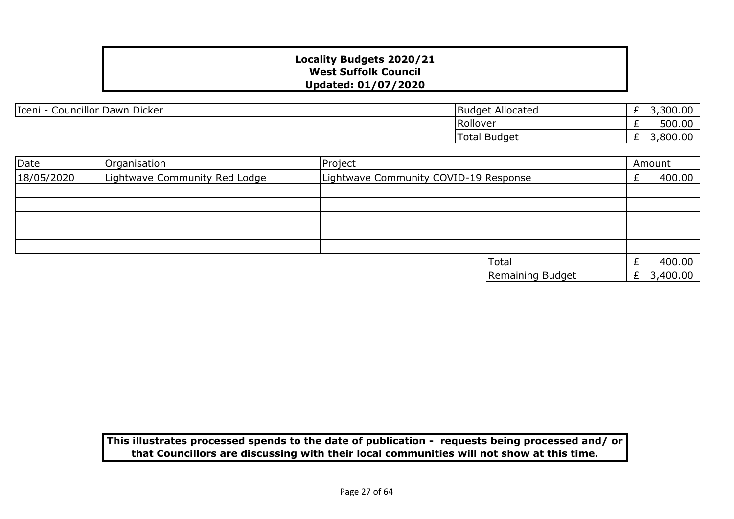| Iceni - Councillor Dawn Dicker | <b>Budget Allocated</b> |
|--------------------------------|-------------------------|
|--------------------------------|-------------------------|

| <b>Budget Allocated</b> | 3,300.00 |
|-------------------------|----------|
| Rollover                | 500.00   |
| Total Budget            | 3,800.00 |

| Date       | Organisation                  | Project                               |   | Amount   |
|------------|-------------------------------|---------------------------------------|---|----------|
| 18/05/2020 | Lightwave Community Red Lodge | Lightwave Community COVID-19 Response |   | 400.00   |
|            |                               |                                       |   |          |
|            |                               |                                       |   |          |
|            |                               |                                       |   |          |
|            |                               |                                       |   |          |
|            |                               |                                       |   |          |
|            |                               | Total                                 |   | 400.00   |
|            |                               | Remaining Budget                      | £ | 3,400.00 |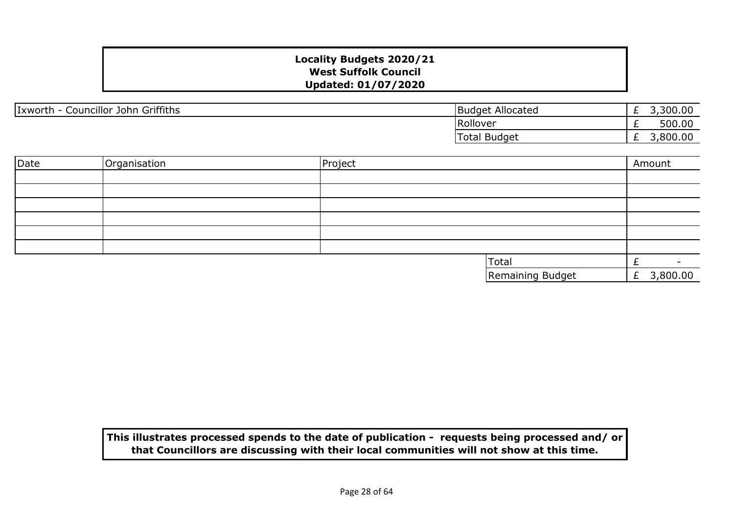| Councillor John Griffiths<br>Ixworth | <b>Budget Allocated</b> | <u>_</u> | 300.00  |
|--------------------------------------|-------------------------|----------|---------|
|                                      | <b>Rollover</b>         | <u>_</u> | 500.00  |
|                                      | <b>Total Budget</b>     | <u>_</u> | ,800.00 |

| Date | Organisation | Project |                  | Amount     |
|------|--------------|---------|------------------|------------|
|      |              |         |                  |            |
|      |              |         |                  |            |
|      |              |         |                  |            |
|      |              |         |                  |            |
|      |              |         |                  |            |
|      |              |         |                  |            |
|      |              |         | Total            |            |
|      |              |         | Remaining Budget | £ 3,800.00 |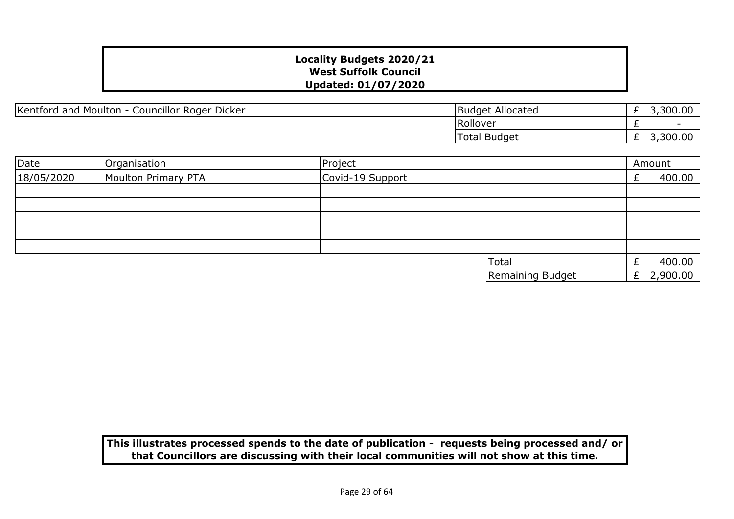Kentford and Moulton - Councillor Roger Dicker

| <b>Budget Allocated</b> | 3,300.00 |
|-------------------------|----------|
| <b>Rollover</b>         |          |
| Total Budget            | 3,300,00 |

| Date       | Organisation        | Project          |                  | Amount   |
|------------|---------------------|------------------|------------------|----------|
| 18/05/2020 | Moulton Primary PTA | Covid-19 Support |                  | 400.00   |
|            |                     |                  |                  |          |
|            |                     |                  |                  |          |
|            |                     |                  |                  |          |
|            |                     |                  |                  |          |
|            |                     |                  |                  |          |
|            |                     | Total            |                  | 400.00   |
|            |                     |                  | Remaining Budget | 2,900.00 |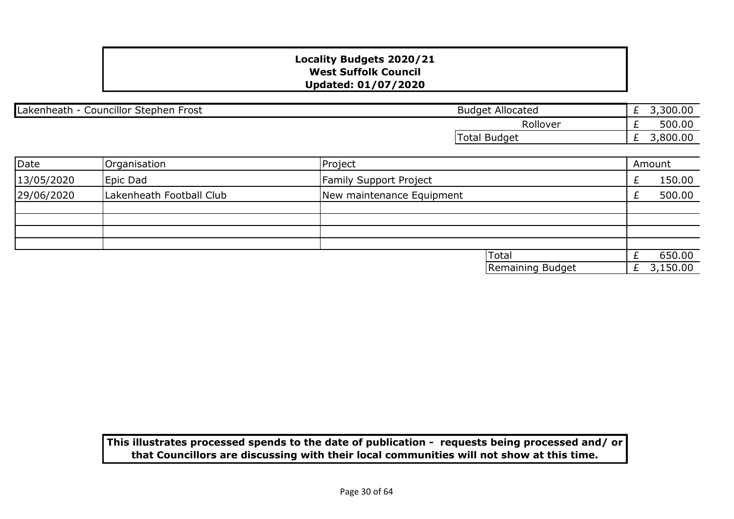| Lakenheath - Councillor Stephen Frost |                          | <b>Budget Allocated</b>   | £ | 3,300.00 |
|---------------------------------------|--------------------------|---------------------------|---|----------|
|                                       |                          | Rollover                  |   | 500.00   |
|                                       |                          | Total Budget              | £ | 3,800.00 |
|                                       |                          |                           |   |          |
| Date                                  | Organisation             | Project                   |   | Amount   |
| 13/05/2020                            | Epic Dad                 | Family Support Project    |   | 150.00   |
| 29/06/2020                            | Lakenheath Football Club | New maintenance Equipment |   | 500.00   |
|                                       |                          |                           |   |          |
|                                       |                          |                           |   |          |
|                                       |                          |                           |   |          |
|                                       |                          | <b>Total</b>              |   | 650.00   |
|                                       |                          | Remaining Budget          | Ł | 3,150.00 |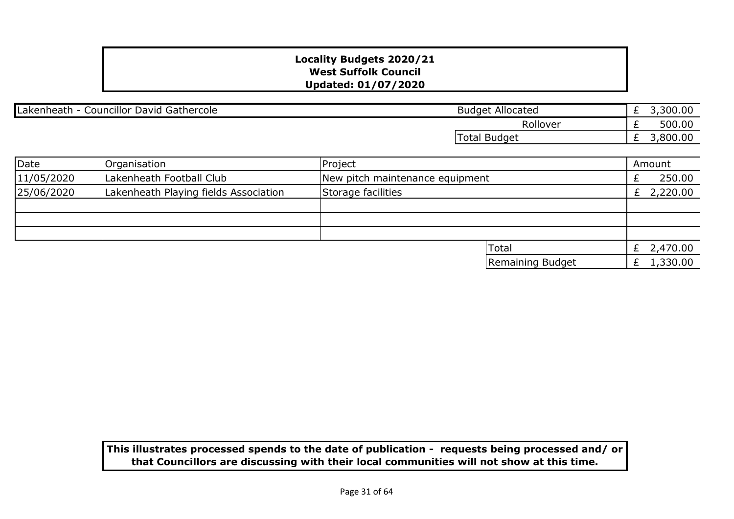| Lakenheath - Councillor David Gathercole |                                       | <b>Budget Allocated</b>         | 3,300.00<br>Ł. |
|------------------------------------------|---------------------------------------|---------------------------------|----------------|
|                                          |                                       | Rollover                        | 500.00         |
|                                          |                                       | Total Budget                    | 3,800.00<br>Ł. |
|                                          |                                       |                                 |                |
| Date                                     | Organisation                          | Project                         | Amount         |
| 11/05/2020                               | Lakenheath Football Club              | New pitch maintenance equipment | 250.00         |
| 25/06/2020                               | Lakenheath Playing fields Association | Storage facilities              | £ 2,220.00     |
|                                          |                                       |                                 |                |
|                                          |                                       |                                 |                |
|                                          |                                       |                                 |                |
|                                          |                                       | <b>Total</b>                    | 2,470.00<br>£  |

£ 1,330.00

Remaining Budget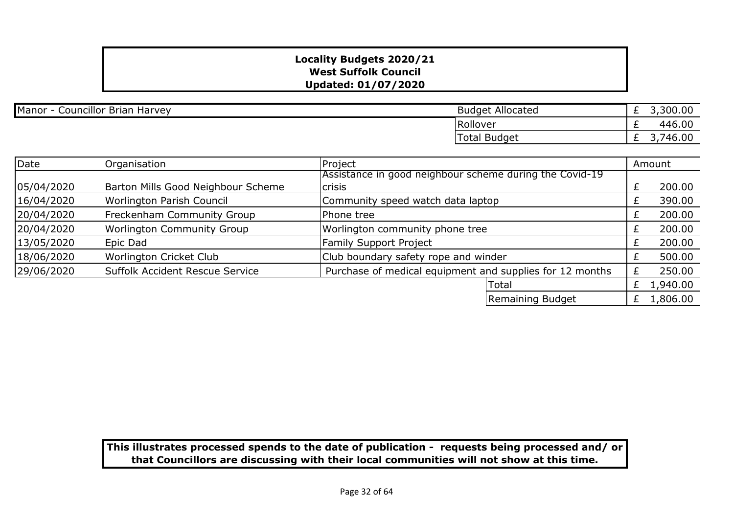| Manor - Councillor Brian Harvey | <b>Budget Allocated</b> |
|---------------------------------|-------------------------|
|                                 |                         |

| <b>Budget Allocated</b> | 3,300.00 |
|-------------------------|----------|
| Rollover                | 446.00   |
| Total Budget            | 3,746.00 |

| <b>Date</b> | Organisation                       | Project                                                  |   | Amount   |
|-------------|------------------------------------|----------------------------------------------------------|---|----------|
|             |                                    | Assistance in good neighbour scheme during the Covid-19  |   |          |
| 05/04/2020  | Barton Mills Good Neighbour Scheme | crisis                                                   |   | 200.00   |
| 16/04/2020  | Worlington Parish Council          | Community speed watch data laptop                        |   | 390.00   |
| 20/04/2020  | Freckenham Community Group         | Phone tree                                               |   | 200.00   |
| 20/04/2020  | <b>Worlington Community Group</b>  | Worlington community phone tree                          |   | 200.00   |
| 13/05/2020  | Epic Dad                           | <b>Family Support Project</b>                            |   | 200.00   |
| 18/06/2020  | Worlington Cricket Club            | Club boundary safety rope and winder                     |   | 500.00   |
| 29/06/2020  | Suffolk Accident Rescue Service    | Purchase of medical equipment and supplies for 12 months |   | 250.00   |
|             |                                    | Total                                                    | £ | 1,940.00 |
|             |                                    | Remaining Budget                                         |   | 1,806.00 |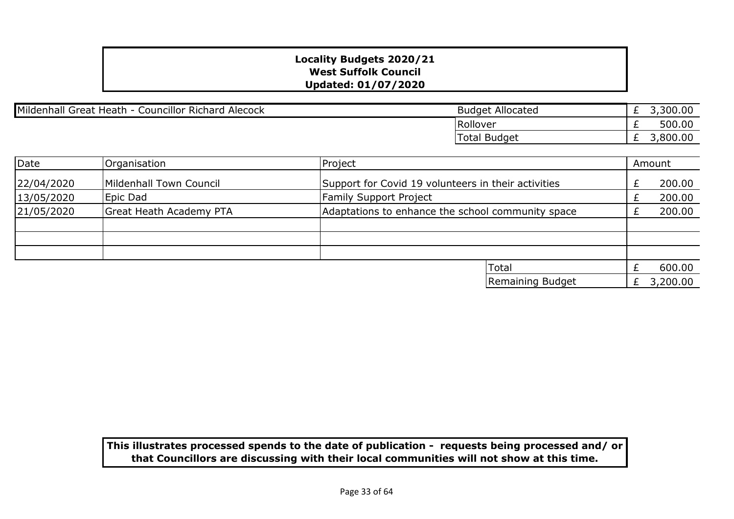Mildenhall Great Heath - Councillor Richard Alecock

| <b>Budget Allocated</b> | £ 3,300.00 |
|-------------------------|------------|
| Rollover                | 500.00     |
| Total Budget            | 3,800.00   |

| Date       | Organisation                   | Project                                             |  | Amount   |
|------------|--------------------------------|-----------------------------------------------------|--|----------|
| 22/04/2020 | Mildenhall Town Council        | Support for Covid 19 volunteers in their activities |  | 200.00   |
| 13/05/2020 | Epic Dad                       | <b>Family Support Project</b>                       |  | 200.00   |
| 21/05/2020 | <b>Great Heath Academy PTA</b> | Adaptations to enhance the school community space   |  | 200.00   |
|            |                                |                                                     |  |          |
|            |                                |                                                     |  |          |
|            |                                |                                                     |  |          |
|            |                                | Total                                               |  | 600.00   |
|            |                                | Remaining Budget                                    |  | 3,200.00 |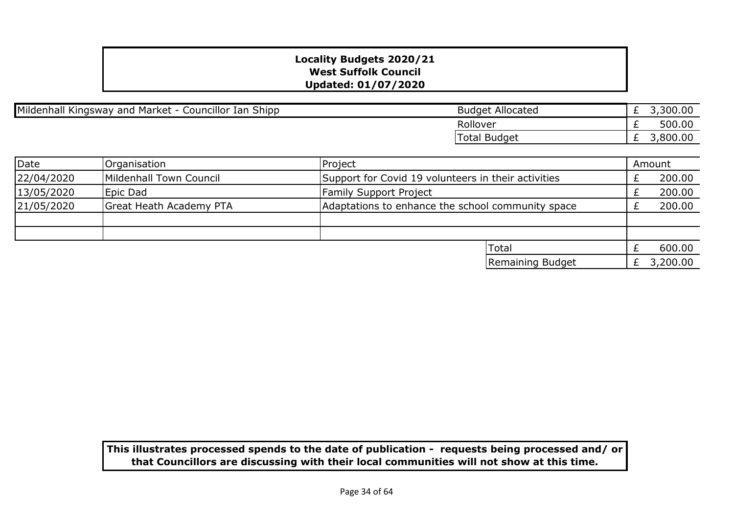Mildenhall Kingsway and Market - Councillor Ian Shipp

| <b>Budget Allocated</b> | 3,300.00 |
|-------------------------|----------|
| Rollover                | 500.00   |
| Total Budget            | 3,800.00 |

| Date       | Organisation                   | Project                                             |  | Amount   |
|------------|--------------------------------|-----------------------------------------------------|--|----------|
| 22/04/2020 | Mildenhall Town Council        | Support for Covid 19 volunteers in their activities |  | 200.00   |
| 13/05/2020 | Epic Dad                       | <b>Family Support Project</b>                       |  | 200.00   |
| 21/05/2020 | <b>Great Heath Academy PTA</b> | Adaptations to enhance the school community space   |  | 200.00   |
|            |                                |                                                     |  |          |
|            |                                |                                                     |  |          |
|            |                                | <b>Total</b>                                        |  | 600.00   |
|            |                                | Remaining Budget                                    |  | 3,200.00 |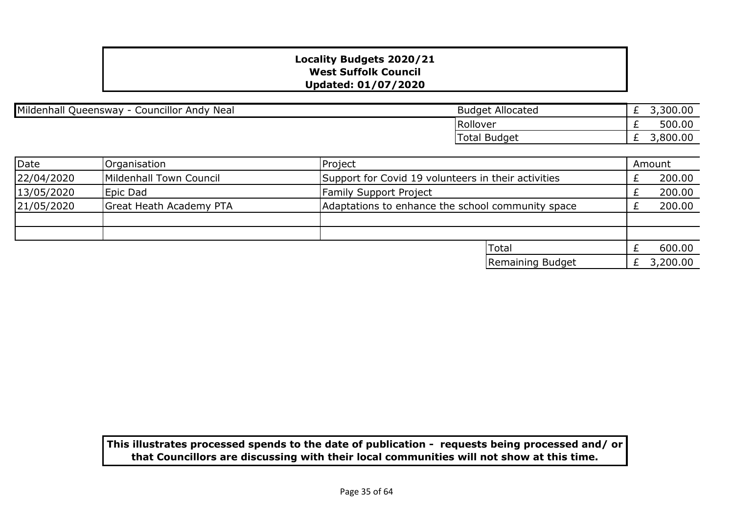Mildenhall Queensway - Councillor Andy Neal

| <b>Budget Allocated</b> | £ $3,300.00$ |
|-------------------------|--------------|
| <b>Rollover</b>         | 500.00       |
| Total Budget            | 3,800.00     |

| Date       | Organisation                   | Project                                             |  | Amount   |
|------------|--------------------------------|-----------------------------------------------------|--|----------|
| 22/04/2020 | Mildenhall Town Council        | Support for Covid 19 volunteers in their activities |  | 200.00   |
| 13/05/2020 | Epic Dad                       | <b>Family Support Project</b>                       |  | 200.00   |
| 21/05/2020 | <b>Great Heath Academy PTA</b> | Adaptations to enhance the school community space   |  | 200.00   |
|            |                                |                                                     |  |          |
|            |                                |                                                     |  |          |
|            |                                | 'Total                                              |  | 600.00   |
|            |                                | Remaining Budget                                    |  | 3,200.00 |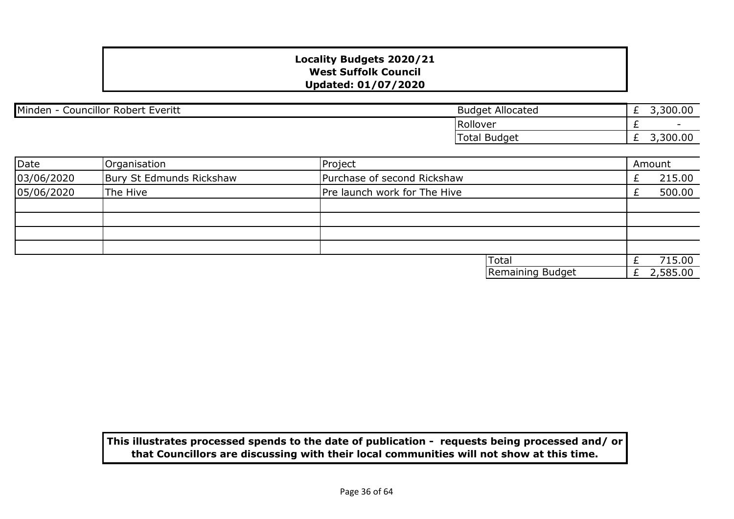| Minden<br><b>Councillor Robert F</b><br>Everitt<br>$\overline{\phantom{0}}$ | : Allocated<br>Budget |   | 3,300.00                 |
|-----------------------------------------------------------------------------|-----------------------|---|--------------------------|
|                                                                             | Rollover              |   | $\overline{\phantom{0}}$ |
|                                                                             | <b>Total Budget</b>   | - | 3,300.00                 |

| Date       | Organisation             | Project                      | Amount   |
|------------|--------------------------|------------------------------|----------|
| 03/06/2020 | Bury St Edmunds Rickshaw | Purchase of second Rickshaw  | 215.00   |
| 05/06/2020 | The Hive                 | Pre launch work for The Hive | 500.00   |
|            |                          |                              |          |
|            |                          |                              |          |
|            |                          |                              |          |
|            |                          |                              |          |
|            |                          | <b>Total</b>                 | 715.00   |
|            |                          | Remaining Budget             | 2,585.00 |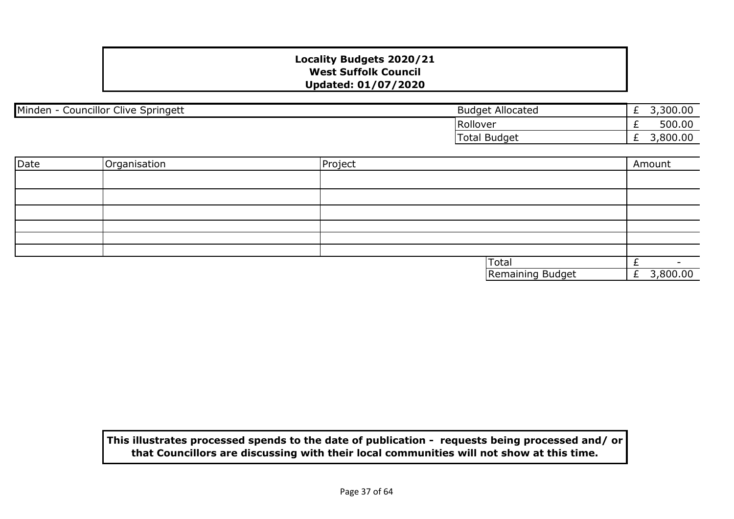| Minden<br><b>Councillor Clive Springett</b> | <b>Budget Allocated</b> | <u>_</u> | ,300.00 |
|---------------------------------------------|-------------------------|----------|---------|
|                                             | Rollover                |          | 500.00  |
|                                             | Total Budget            |          | 800.00  |

| Date | Organisation | Project |                  | Amount         |
|------|--------------|---------|------------------|----------------|
|      |              |         |                  |                |
|      |              |         |                  |                |
|      |              |         |                  |                |
|      |              |         |                  |                |
|      |              |         |                  |                |
|      |              |         |                  |                |
|      |              |         | Total            | $\sim$         |
|      |              |         | Remaining Budget | 3,800.00<br>Ł. |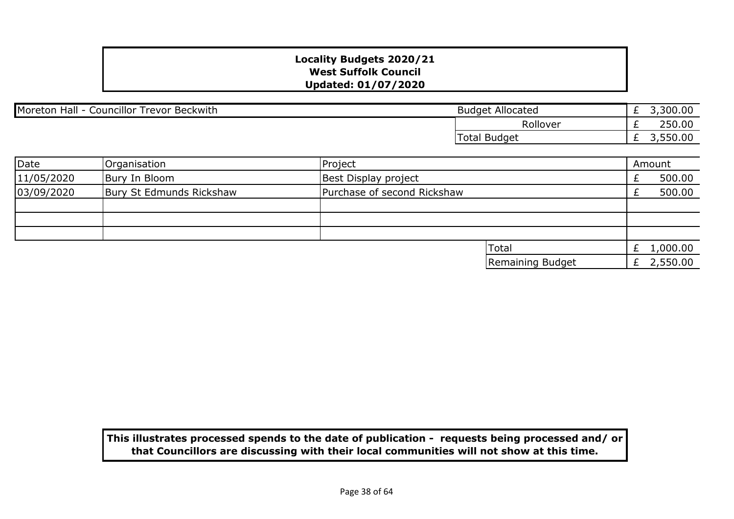| Councillor<br>Moreton<br>Hall<br><sup>.</sup> Beckwith<br>Trevor | Allocated<br>Budget    | <u>_</u> | ,300.00 |
|------------------------------------------------------------------|------------------------|----------|---------|
|                                                                  | Rollove                | <u>_</u> | 250.00  |
|                                                                  | <b>Budget</b><br>Total | <u>_</u> | 0.00،   |

| Date       | Organisation             | Project                     |                  | Amount       |
|------------|--------------------------|-----------------------------|------------------|--------------|
| 11/05/2020 | Bury In Bloom            | Best Display project        |                  | 500.00       |
| 03/09/2020 | Bury St Edmunds Rickshaw | Purchase of second Rickshaw |                  | 500.00       |
|            |                          |                             |                  |              |
|            |                          |                             |                  |              |
|            |                          |                             |                  |              |
|            |                          |                             | 'Total           | £ $1,000.00$ |
|            |                          |                             | Remaining Budget | £ $2,550.00$ |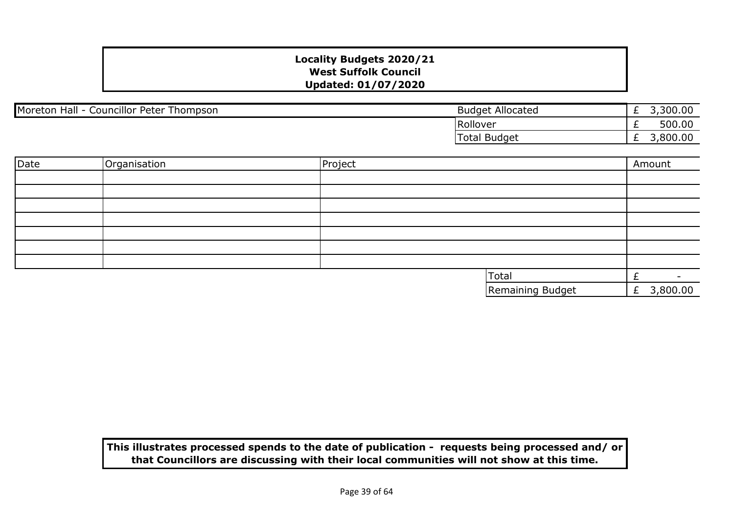| Moreton<br><b>Councillor Peter Thompson</b><br>Hall | <b>Budget Allocated</b> | <u>_</u> | ,300.00           |
|-----------------------------------------------------|-------------------------|----------|-------------------|
|                                                     | Rollover                |          | 500.00            |
|                                                     | Total Budget            | <u>_</u> | $\cap$<br>,800.00 |

| Date | Organisation | Project |                  | Amount        |
|------|--------------|---------|------------------|---------------|
|      |              |         |                  |               |
|      |              |         |                  |               |
|      |              |         |                  |               |
|      |              |         |                  |               |
|      |              |         |                  |               |
|      |              |         |                  |               |
|      |              |         |                  |               |
|      |              |         | Total            |               |
|      |              |         | Remaining Budget | 3,800.00<br>E |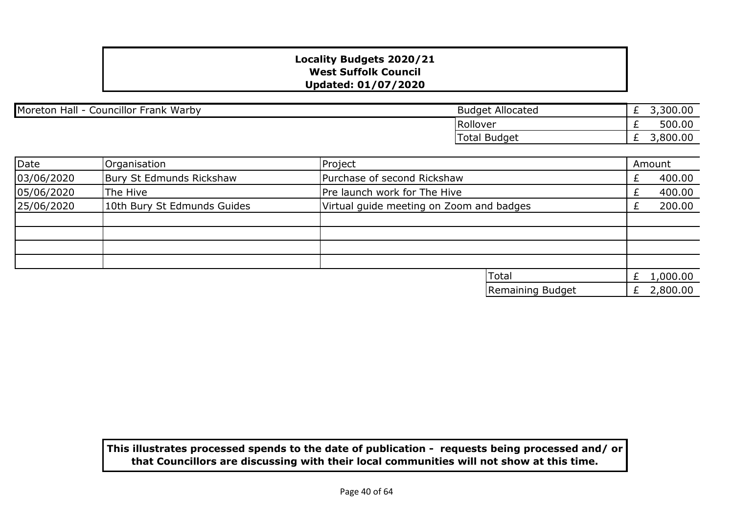| <b>Councillor Frank Warby</b><br>Moreton<br>Hall | Allocated<br>Budget | <u>_</u> | ,300.00<br>-     |
|--------------------------------------------------|---------------------|----------|------------------|
|                                                  | Rollover            |          | 500.00           |
|                                                  | Total<br>Budget     |          | ∴ ຊ∩∩<br>,800.00 |

| Date       | Organisation                | Project                                  | Amount |          |
|------------|-----------------------------|------------------------------------------|--------|----------|
| 03/06/2020 | Bury St Edmunds Rickshaw    | Purchase of second Rickshaw              |        | 400.00   |
| 05/06/2020 | The Hive                    | Pre launch work for The Hive             |        | 400.00   |
| 25/06/2020 | 10th Bury St Edmunds Guides | Virtual guide meeting on Zoom and badges |        | 200.00   |
|            |                             |                                          |        |          |
|            |                             |                                          |        |          |
|            |                             |                                          |        |          |
|            |                             |                                          |        |          |
|            |                             | Total                                    |        | 1,000.00 |
|            |                             | Remaining Budget                         |        | 2,800.00 |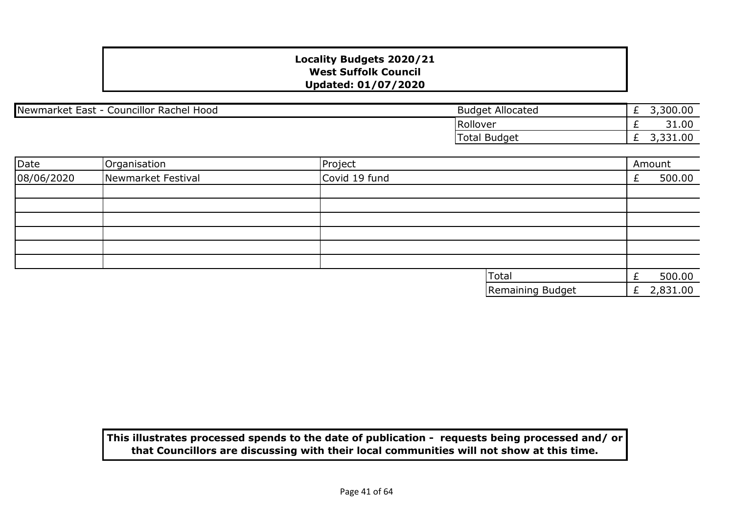Newmarket East - Councillor Rachel Hood Budget Allocated

£ 3,300.00 £ 31.00 £ 3,331.00 Total Budget Rollover

| Date       | Organisation       | Project          | Amount       |
|------------|--------------------|------------------|--------------|
| 08/06/2020 | Newmarket Festival | Covid 19 fund    | 500.00       |
|            |                    |                  |              |
|            |                    |                  |              |
|            |                    |                  |              |
|            |                    |                  |              |
|            |                    |                  |              |
|            |                    |                  |              |
|            |                    | Total            | 500.00       |
|            |                    | Remaining Budget | £ $2,831.00$ |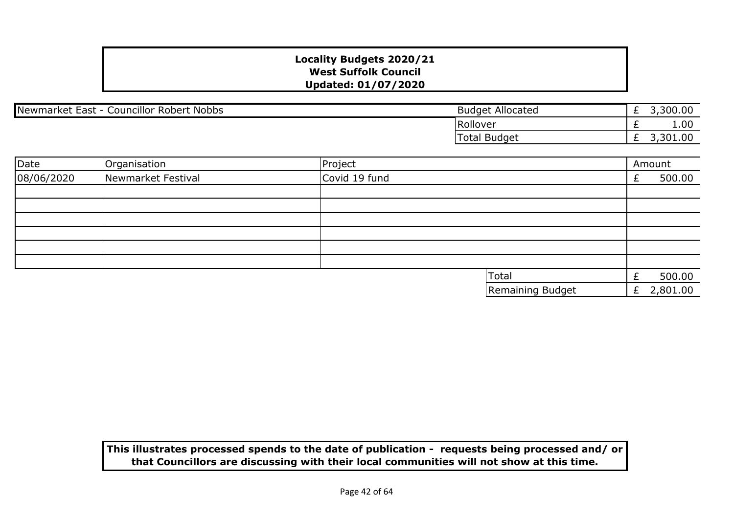Newmarket East - Councillor Robert Nobbs **Budget Allocated** Budget Allocated

£ 3,300.00 £ 1.00 £ 3,301.00 Total Budget Rollover

| Date       | Organisation       | Project          | Amount   |  |
|------------|--------------------|------------------|----------|--|
| 08/06/2020 | Newmarket Festival | Covid 19 fund    | 500.00   |  |
|            |                    |                  |          |  |
|            |                    |                  |          |  |
|            |                    |                  |          |  |
|            |                    |                  |          |  |
|            |                    |                  |          |  |
|            |                    |                  |          |  |
|            |                    | Total            | 500.00   |  |
|            |                    | Remaining Budget | 2,801.00 |  |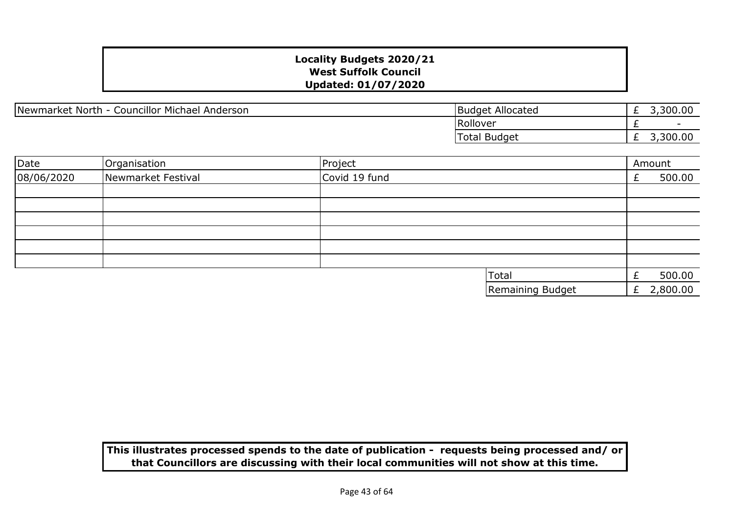Newmarket North - Councillor Michael Anderson Budget Allocated

£ 3,300.00  $\overline{f}$ £ 3,300.00 Total Budget Rollover

| Date       | Organisation       | Project          | Amount     |
|------------|--------------------|------------------|------------|
| 08/06/2020 | Newmarket Festival | Covid 19 fund    | 500.00     |
|            |                    |                  |            |
|            |                    |                  |            |
|            |                    |                  |            |
|            |                    |                  |            |
|            |                    |                  |            |
|            |                    |                  |            |
|            |                    | Total            | 500.00     |
|            |                    | Remaining Budget | £ 2,800.00 |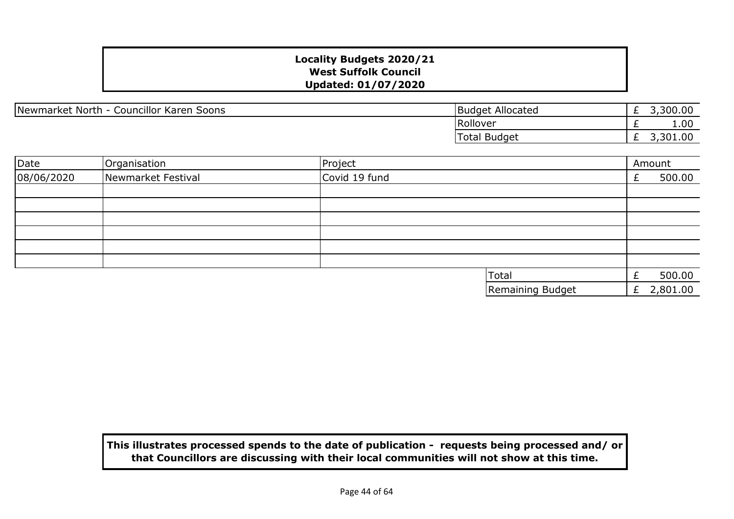Newmarket North - Councillor Karen Soons

| <b>Budget Allocated</b> | £ 3,300.00 |
|-------------------------|------------|
| Rollover                | 1.00       |
| Total Budget            | £ 3,301.00 |

| Date       | Organisation       | Project          | Amount     |
|------------|--------------------|------------------|------------|
| 08/06/2020 | Newmarket Festival | Covid 19 fund    | 500.00     |
|            |                    |                  |            |
|            |                    |                  |            |
|            |                    |                  |            |
|            |                    |                  |            |
|            |                    |                  |            |
|            |                    |                  |            |
|            |                    | Total            | 500.00     |
|            |                    | Remaining Budget | £ 2,801.00 |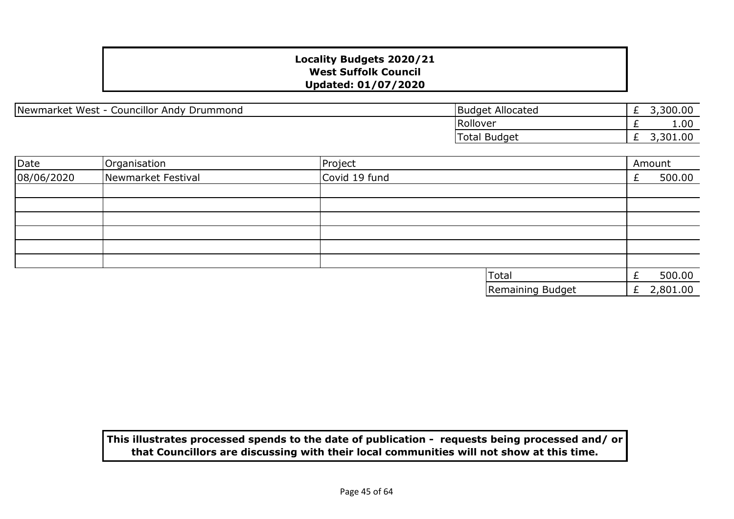Newmarket West - Councillor Andy Drummond

| <b>Budget Allocated</b> | £ 3,300.00 |
|-------------------------|------------|
| Rollover                | 1.00       |
| Total Budget            | £ 3,301.00 |

| Date       | Organisation       | Project          | Amount       |  |
|------------|--------------------|------------------|--------------|--|
| 08/06/2020 | Newmarket Festival | Covid 19 fund    | 500.00       |  |
|            |                    |                  |              |  |
|            |                    |                  |              |  |
|            |                    |                  |              |  |
|            |                    |                  |              |  |
|            |                    |                  |              |  |
|            |                    |                  |              |  |
|            |                    | Total            | 500.00       |  |
|            |                    | Remaining Budget | £ $2,801.00$ |  |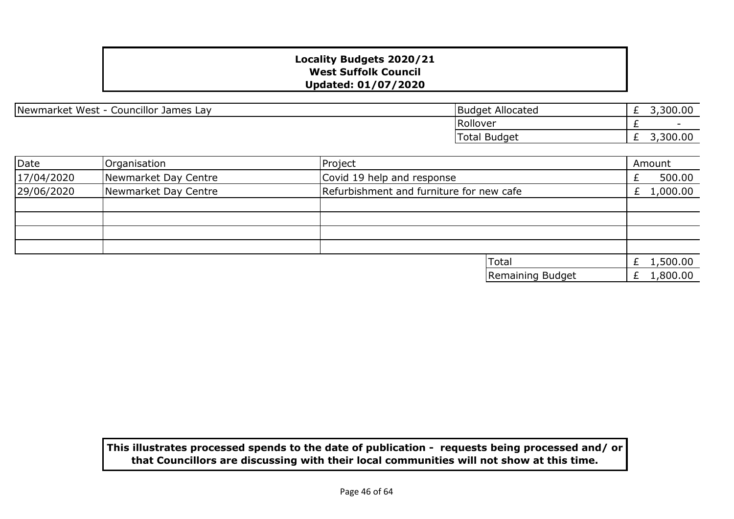| Newmarket West<br>Councillor James Lay<br>$\overline{\phantom{a}}$ | <b>Budget Allocated</b> | -        | n n<br>,300.00           |
|--------------------------------------------------------------------|-------------------------|----------|--------------------------|
|                                                                    | Rollover                |          | $\overline{\phantom{a}}$ |
|                                                                    | Total Budget            | <u>_</u> | ∩∈<br>300.00;            |

| Date       | Organisation         | Project                                  | Amount       |
|------------|----------------------|------------------------------------------|--------------|
| 17/04/2020 | Newmarket Day Centre | Covid 19 help and response               | 500.00       |
| 29/06/2020 | Newmarket Day Centre | Refurbishment and furniture for new cafe | £ $1,000.00$ |
|            |                      |                                          |              |
|            |                      |                                          |              |
|            |                      |                                          |              |
|            |                      |                                          |              |
|            |                      | <b>Total</b>                             | £ $1,500.00$ |
|            |                      | Remaining Budget                         | £ $1,800.00$ |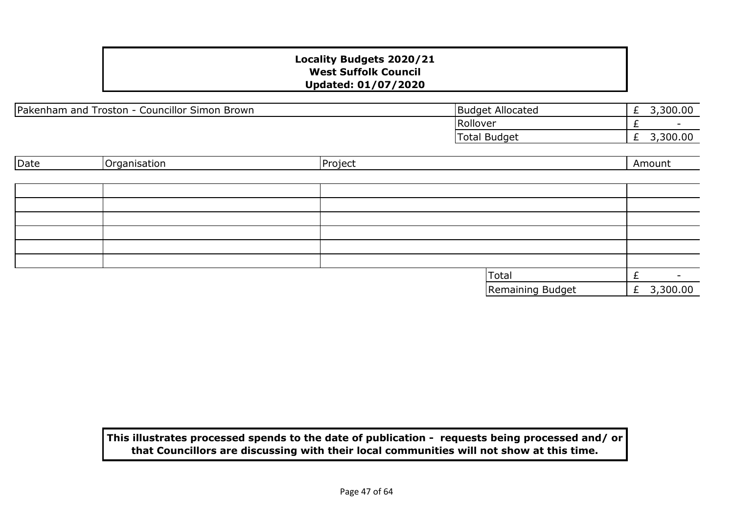| Pakenham and Troston - C<br>Councillor Simon Brown | <b>Budget Allocated</b> | 300.00<br><u>_</u> |
|----------------------------------------------------|-------------------------|--------------------|
|                                                    | Rollover                |                    |
|                                                    | Total Budget            | 300.00             |

| Date | Organisation | Project |                  | Amount |          |
|------|--------------|---------|------------------|--------|----------|
|      |              |         |                  |        |          |
|      |              |         |                  |        |          |
|      |              |         |                  |        |          |
|      |              |         |                  |        |          |
|      |              |         |                  |        |          |
|      |              |         |                  |        |          |
|      |              |         |                  |        |          |
|      |              |         | Total            |        |          |
|      |              |         | Remaining Budget | £      | 3,300.00 |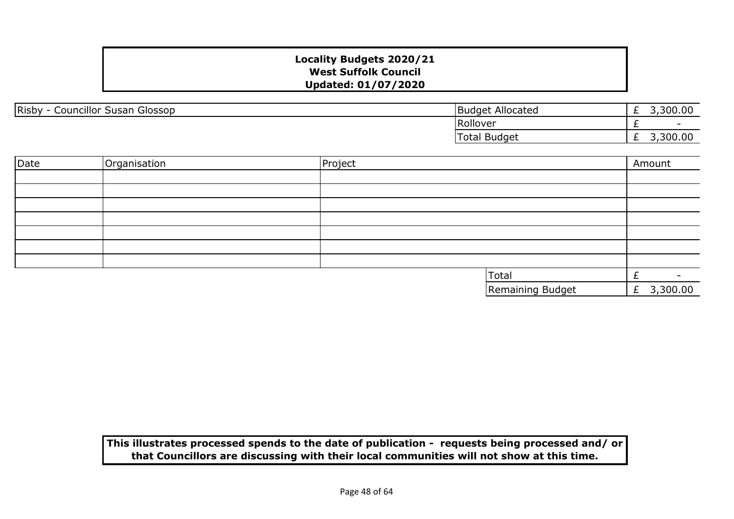| Risby<br><br>Susan Glossop<br>Councillor S | <b>Budget</b><br>: Allocated | 300.00<br>∽<br><u>_</u> |
|--------------------------------------------|------------------------------|-------------------------|
|                                            | Rollover                     |                         |
|                                            | <b>Budget</b><br>Total       | 300.00<br>∽<br>_        |

| Date | Organisation | Project |                  | Amount     |
|------|--------------|---------|------------------|------------|
|      |              |         |                  |            |
|      |              |         |                  |            |
|      |              |         |                  |            |
|      |              |         |                  |            |
|      |              |         |                  |            |
|      |              |         |                  |            |
|      |              |         |                  |            |
|      |              |         | Total            | -          |
|      |              |         | Remaining Budget | £ 3,300.00 |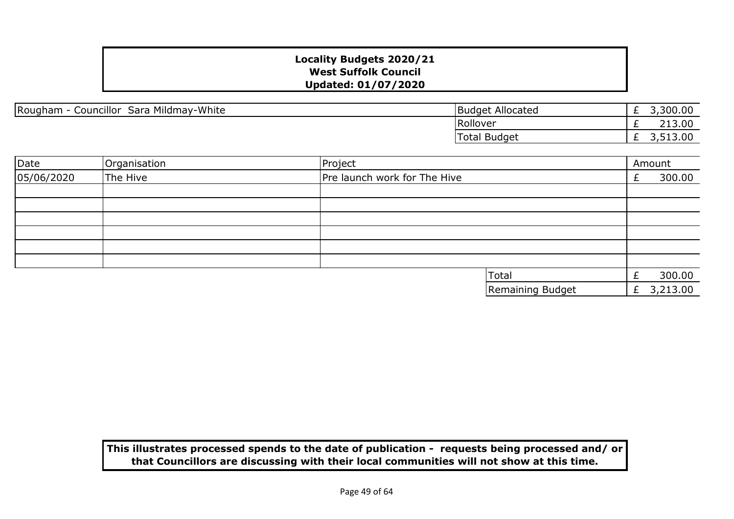Rougham - Councillor Sara Mildmay-White

| <b>Budget Allocated</b> | 3,300.00 |
|-------------------------|----------|
| Rollover                | 213.00   |
| <b>Total Budget</b>     | 3,513.00 |

| Date       | Organisation | Project                      |   | Amount   |
|------------|--------------|------------------------------|---|----------|
| 05/06/2020 | The Hive     | Pre launch work for The Hive |   | 300.00   |
|            |              |                              |   |          |
|            |              |                              |   |          |
|            |              |                              |   |          |
|            |              |                              |   |          |
|            |              |                              |   |          |
|            |              |                              |   |          |
|            |              | Total                        |   | 300.00   |
|            |              | Remaining Budget             | £ | 3,213.00 |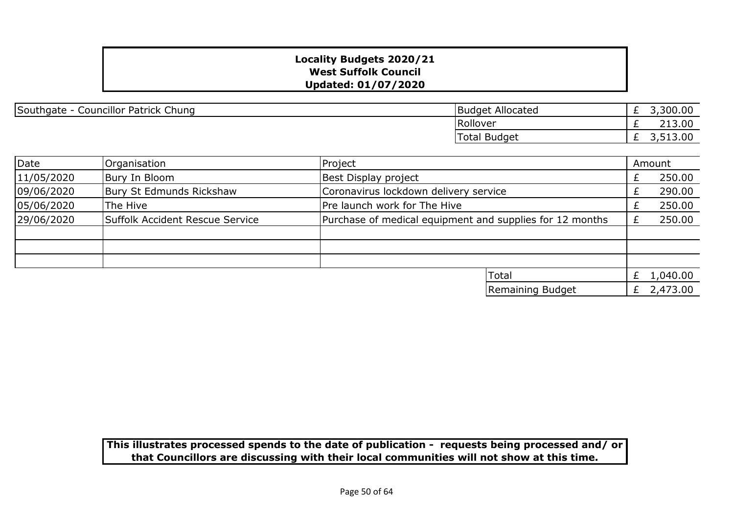| Southgate - Councillor Patrick Chung | Budget Allocated |  |
|--------------------------------------|------------------|--|
|--------------------------------------|------------------|--|

| <b>Budget Allocated</b> | 3,300.00 |
|-------------------------|----------|
| Rollover                | 213.00   |
| <b>Total Budget</b>     | 3,513.00 |

| Date       | Organisation                    | Project                                                  |                  | Amount       |
|------------|---------------------------------|----------------------------------------------------------|------------------|--------------|
| 11/05/2020 | Bury In Bloom                   | Best Display project                                     |                  | 250.00       |
| 09/06/2020 | Bury St Edmunds Rickshaw        | Coronavirus lockdown delivery service                    |                  | 290.00       |
| 05/06/2020 | The Hive                        | Pre launch work for The Hive                             |                  | 250.00       |
| 29/06/2020 | Suffolk Accident Rescue Service | Purchase of medical equipment and supplies for 12 months |                  | 250.00       |
|            |                                 |                                                          |                  |              |
|            |                                 |                                                          |                  |              |
|            |                                 |                                                          |                  |              |
|            |                                 |                                                          | <b>Total</b>     | £ $1,040.00$ |
|            |                                 |                                                          | Remaining Budget | 2,473.00     |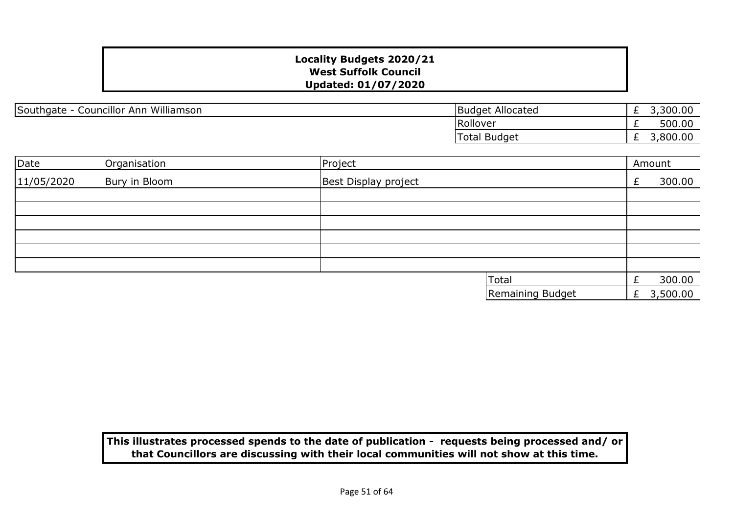Southgate - Councillor Ann Williamson

| <b>Budget Allocated</b> | 3,300.00 |
|-------------------------|----------|
| Rollover                | 500.00   |
| Total Budget            | 3,800.00 |

| Date       | Organisation  | Project              |   | Amount   |
|------------|---------------|----------------------|---|----------|
| 11/05/2020 | Bury in Bloom | Best Display project |   | 300.00   |
|            |               |                      |   |          |
|            |               |                      |   |          |
|            |               |                      |   |          |
|            |               |                      |   |          |
|            |               |                      |   |          |
|            |               |                      |   |          |
|            |               | Total                |   | 300.00   |
|            |               | Remaining Budget     | £ | 3,500.00 |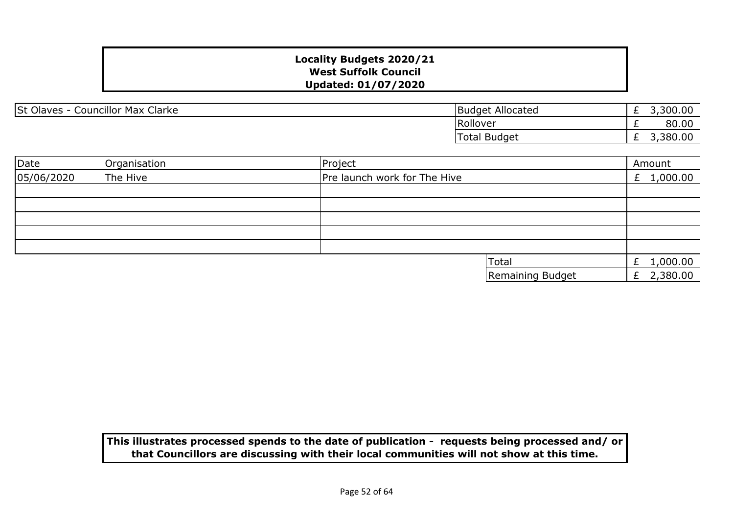| <b>St Olaves</b><br><b>Councillor Max Clarke</b> | <b>Budget Allocated</b> | <u>_</u> | 300.00 |
|--------------------------------------------------|-------------------------|----------|--------|
|                                                  | Rollover                | <u>_</u> | 80.00  |
|                                                  | <b>Total Budget</b>     | <u>_</u> | 380.00 |

| Date       | Organisation | Project |                              |                  |   | Amount       |
|------------|--------------|---------|------------------------------|------------------|---|--------------|
| 05/06/2020 | The Hive     |         | Pre launch work for The Hive |                  |   | £ $1,000.00$ |
|            |              |         |                              |                  |   |              |
|            |              |         |                              |                  |   |              |
|            |              |         |                              |                  |   |              |
|            |              |         |                              |                  |   |              |
|            |              |         |                              |                  |   |              |
|            |              |         |                              | Total            |   | £ $1,000.00$ |
|            |              |         |                              | Remaining Budget | £ | 2,380.00     |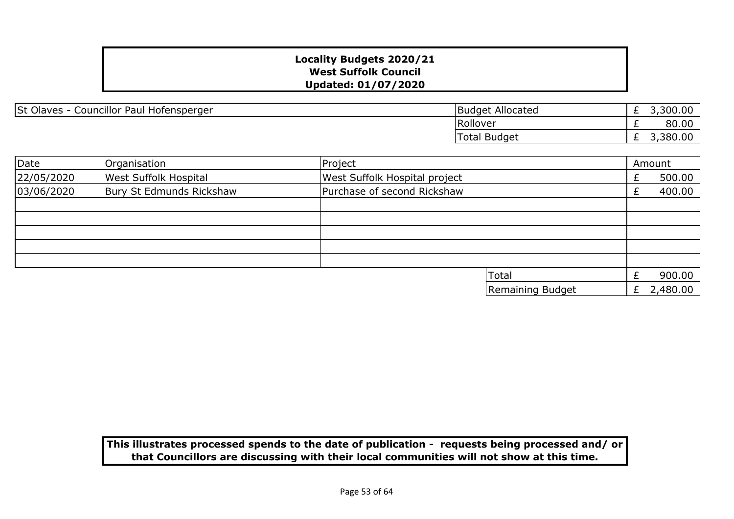| St Olaves -<br>-<br>Councillor Paul $\overline{V}$<br>l Hofensperger | <b>Budget</b><br>: Allocated | <u>_</u> | ,300.00           |
|----------------------------------------------------------------------|------------------------------|----------|-------------------|
|                                                                      | Rollover                     |          | 80.00             |
|                                                                      | <b>Total Budget</b>          | <u>_</u> | $\cap$<br>,380.00 |

| Date       | Organisation                 | Project                       | Amount     |
|------------|------------------------------|-------------------------------|------------|
| 22/05/2020 | <b>West Suffolk Hospital</b> | West Suffolk Hospital project | 500.00     |
| 03/06/2020 | Bury St Edmunds Rickshaw     | Purchase of second Rickshaw   | 400.00     |
|            |                              |                               |            |
|            |                              |                               |            |
|            |                              |                               |            |
|            |                              |                               |            |
|            |                              |                               |            |
|            |                              | Total                         | 900.00     |
|            |                              | Remaining Budget              | £ 2,480.00 |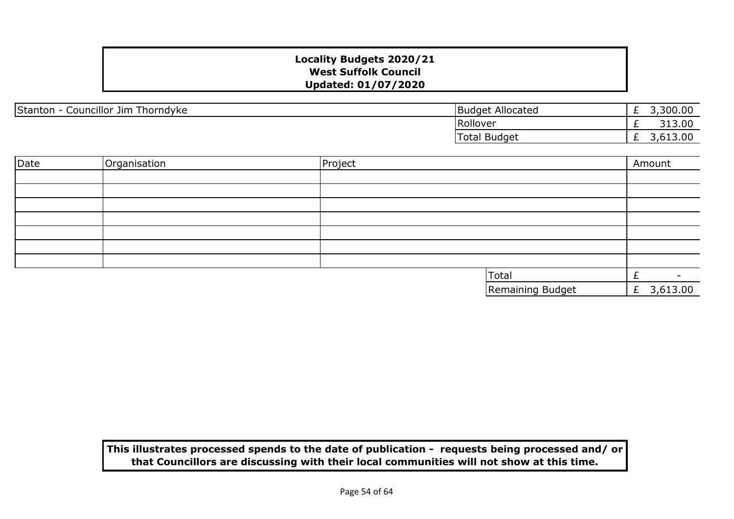| Councillor Jim<br>Thorndyke<br>Stanton | <b>Budget Allocated</b> | <u>_</u> | ,300.00<br>–        |
|----------------------------------------|-------------------------|----------|---------------------|
|                                        | Rollover                | <u>_</u> | 313.00              |
|                                        | <b>Budget</b><br>Total  | _        | nn<br>, 0 1 9 . 0 0 |

| Date | Organisation | Project |                  | Amount        |
|------|--------------|---------|------------------|---------------|
|      |              |         |                  |               |
|      |              |         |                  |               |
|      |              |         |                  |               |
|      |              |         |                  |               |
|      |              |         |                  |               |
|      |              |         |                  |               |
|      |              |         |                  |               |
|      |              |         | Total            | -             |
|      |              |         | Remaining Budget | 3,613.00<br>£ |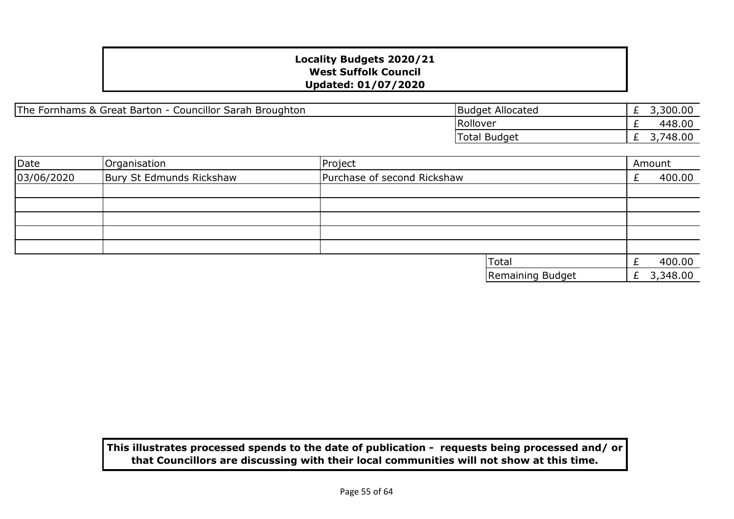| The Fornhams & Great Barton - Councillor Sarah Broughton | <b>Budget Allocated</b> |
|----------------------------------------------------------|-------------------------|
|----------------------------------------------------------|-------------------------|

| <b>Budget Allocated</b> | 3,300.00 |
|-------------------------|----------|
| Rollover                | 448.00   |
| Total Budget            | 3,748.00 |

| Date       | Organisation             | Project                     |                  | Amount |          |
|------------|--------------------------|-----------------------------|------------------|--------|----------|
| 03/06/2020 | Bury St Edmunds Rickshaw | Purchase of second Rickshaw |                  |        | 400.00   |
|            |                          |                             |                  |        |          |
|            |                          |                             |                  |        |          |
|            |                          |                             |                  |        |          |
|            |                          |                             |                  |        |          |
|            |                          |                             |                  |        |          |
|            |                          |                             | <b>Total</b>     |        | 400.00   |
|            |                          |                             | Remaining Budget |        | 3,348.00 |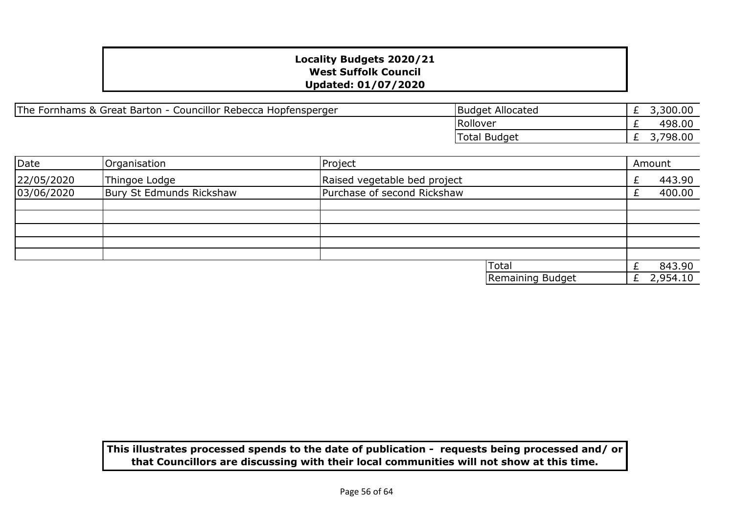| The Fornhams & Great Barton - Councillor Rebecca Hopfensperger | <b>Budget Allocated</b> | 3,300.00<br>_ |
|----------------------------------------------------------------|-------------------------|---------------|
|                                                                | Rollover                | 498.00<br>-   |
|                                                                | Total Budget            | 798.00        |

| Date       | Organisation             | Project                      |                  | Amount   |
|------------|--------------------------|------------------------------|------------------|----------|
| 22/05/2020 | Thingoe Lodge            | Raised vegetable bed project |                  | 443.90   |
| 03/06/2020 | Bury St Edmunds Rickshaw | Purchase of second Rickshaw  |                  | 400.00   |
|            |                          |                              |                  |          |
|            |                          |                              |                  |          |
|            |                          |                              |                  |          |
|            |                          |                              |                  |          |
|            |                          |                              |                  |          |
|            |                          |                              | Total            | 843.90   |
|            |                          |                              | Remaining Budget | 2,954.10 |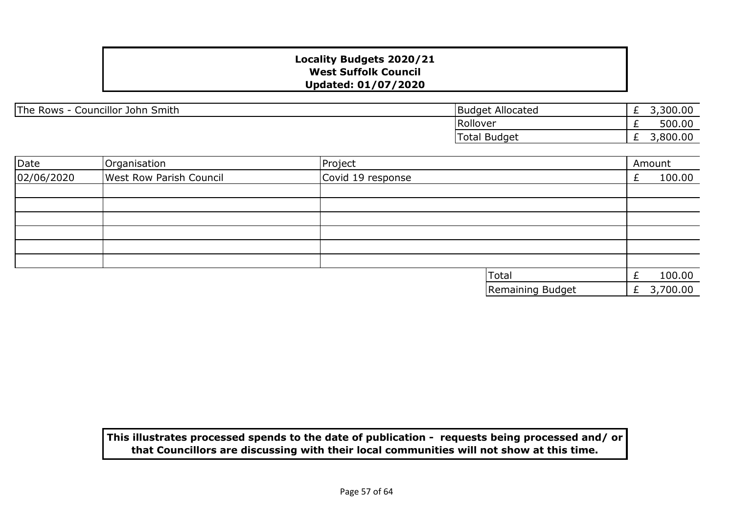The Rows - Councillor John Smith

|                                                     | 3,300.00 |
|-----------------------------------------------------|----------|
|                                                     | 500.00   |
|                                                     | 3,800.00 |
| <b>Budget Allocated</b><br>Rollover<br>Total Budget |          |

| Date       | Organisation                   | Project           |  | Amount     |
|------------|--------------------------------|-------------------|--|------------|
| 02/06/2020 | <b>West Row Parish Council</b> | Covid 19 response |  | 100.00     |
|            |                                |                   |  |            |
|            |                                |                   |  |            |
|            |                                |                   |  |            |
|            |                                |                   |  |            |
|            |                                |                   |  |            |
|            |                                |                   |  |            |
|            |                                | Total             |  | 100.00     |
|            |                                | Remaining Budget  |  | £ 3,700.00 |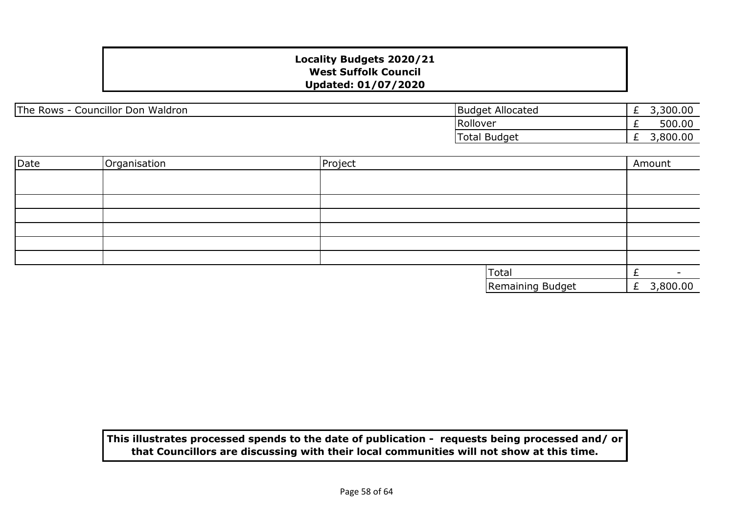| The Rows -<br>Councillor Don Waldron | <b>Budget Allocated</b> | _ | ,300.00 |
|--------------------------------------|-------------------------|---|---------|
|                                      | Rollover                |   | 500.00  |
|                                      | <b>Total Budget</b>     |   | ,800.00 |

| Date | Organisation | Project |                  | Amount     |
|------|--------------|---------|------------------|------------|
|      |              |         |                  |            |
|      |              |         |                  |            |
|      |              |         |                  |            |
|      |              |         |                  |            |
|      |              |         |                  |            |
|      |              |         |                  |            |
|      |              |         |                  |            |
|      |              |         | Total            |            |
|      |              |         | Remaining Budget | £ 3,800.00 |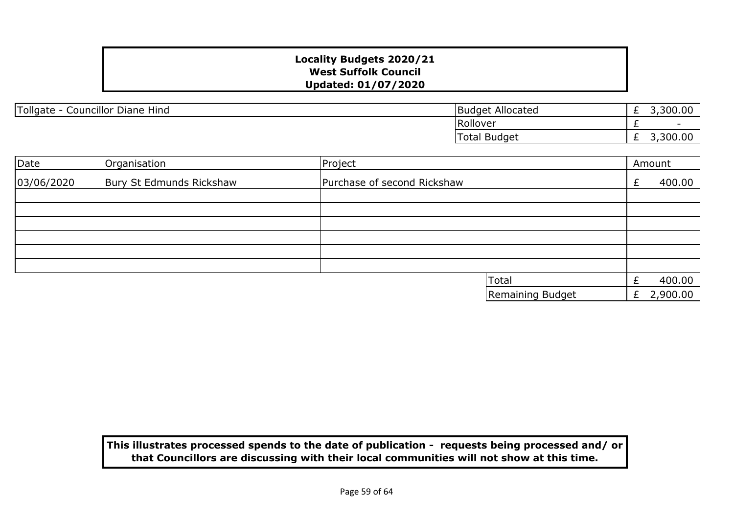| Tollgate - Councillor Diane Hind | Budget Allocated |
|----------------------------------|------------------|
|----------------------------------|------------------|

| <b>Budget Allocated</b> | 3,300.00 |
|-------------------------|----------|
| Rollover                |          |
| Total Budget            | 3,300.00 |

| Date       | Organisation             | Project                     |   | Amount   |
|------------|--------------------------|-----------------------------|---|----------|
| 03/06/2020 | Bury St Edmunds Rickshaw | Purchase of second Rickshaw |   | 400.00   |
|            |                          |                             |   |          |
|            |                          |                             |   |          |
|            |                          |                             |   |          |
|            |                          |                             |   |          |
|            |                          |                             |   |          |
|            |                          |                             |   |          |
|            |                          | Total                       |   | 400.00   |
|            |                          | Remaining Budget            | £ | 2,900.00 |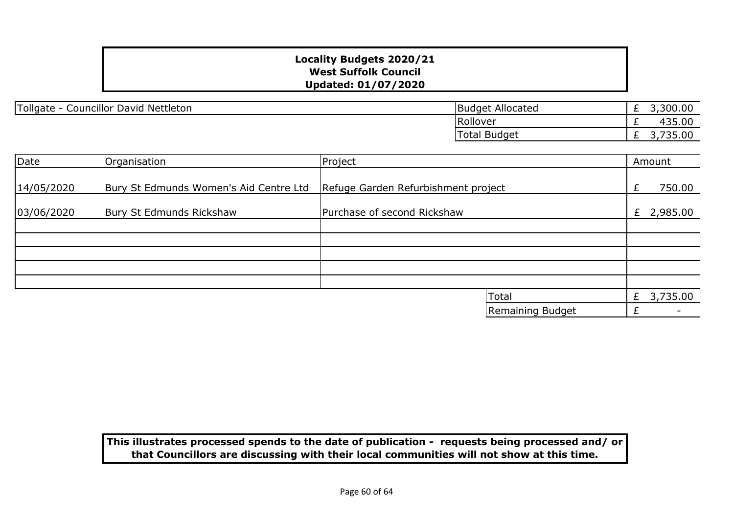Tollgate - Councillor David Nettleton

| <b>Budget Allocated</b> | 3,300.00 |
|-------------------------|----------|
| Rollover                | 435.00   |
| Total Budget            | 3,735.00 |

| Date       | Organisation                           | Project                             |                  |   | Amount     |
|------------|----------------------------------------|-------------------------------------|------------------|---|------------|
| 14/05/2020 | Bury St Edmunds Women's Aid Centre Ltd | Refuge Garden Refurbishment project |                  | £ | 750.00     |
| 03/06/2020 | Bury St Edmunds Rickshaw               | Purchase of second Rickshaw         |                  |   | £ 2,985.00 |
|            |                                        |                                     |                  |   |            |
|            |                                        |                                     |                  |   |            |
|            |                                        |                                     |                  |   |            |
|            |                                        |                                     |                  |   |            |
|            |                                        |                                     |                  |   |            |
|            |                                        |                                     | Total            | £ | 3,735.00   |
|            |                                        |                                     | Remaining Budget |   |            |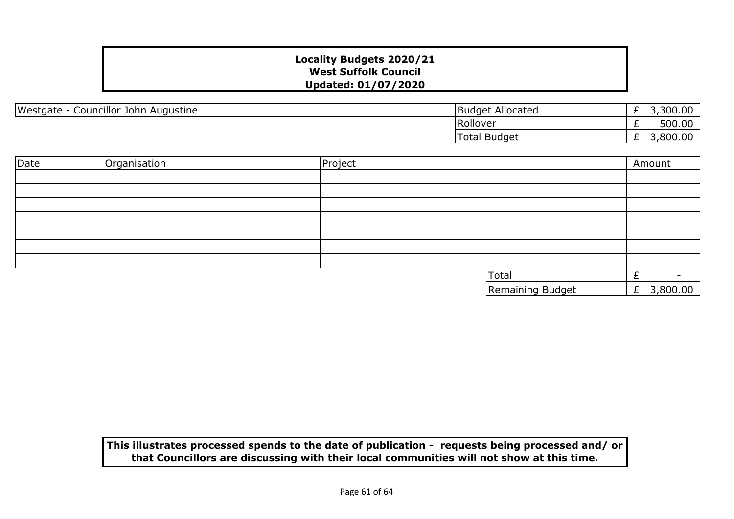| Westgate<br>Councillor John Augustine<br>- | <b>Budget Allocated</b> | <u>_</u> | 300.00  |
|--------------------------------------------|-------------------------|----------|---------|
|                                            | Rollover                | <u>_</u> | 500.00  |
|                                            | l Budget<br>Total       | <u>_</u> | ,800.00 |

| Date | Organisation | Project |                  | Amount     |  |
|------|--------------|---------|------------------|------------|--|
|      |              |         |                  |            |  |
|      |              |         |                  |            |  |
|      |              |         |                  |            |  |
|      |              |         |                  |            |  |
|      |              |         |                  |            |  |
|      |              |         |                  |            |  |
|      |              |         |                  |            |  |
|      |              |         | <b>Total</b>     | -          |  |
|      |              |         | Remaining Budget | £ 3,800.00 |  |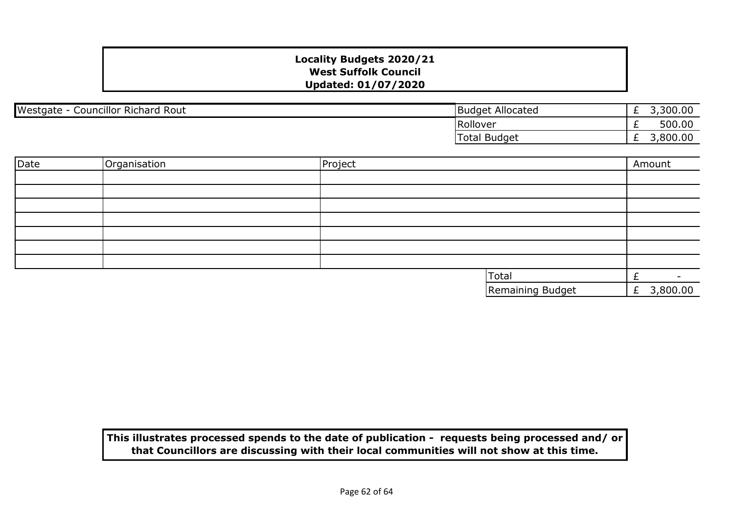| <b>Councillor Richard</b><br>Westgate<br>Rout | Allocated<br><b>Budget</b> | _        | 300.00  |
|-----------------------------------------------|----------------------------|----------|---------|
|                                               | Rollover                   | <u>_</u> | 500.00  |
|                                               | Total<br>Budget            | _        | ,800.00 |

| Date | Organisation | Project |                  |   | Amount   |
|------|--------------|---------|------------------|---|----------|
|      |              |         |                  |   |          |
|      |              |         |                  |   |          |
|      |              |         |                  |   |          |
|      |              |         |                  |   |          |
|      |              |         |                  |   |          |
|      |              |         |                  |   |          |
|      |              |         |                  |   |          |
|      |              |         | Total            |   | -        |
|      |              |         | Remaining Budget | £ | 3,800.00 |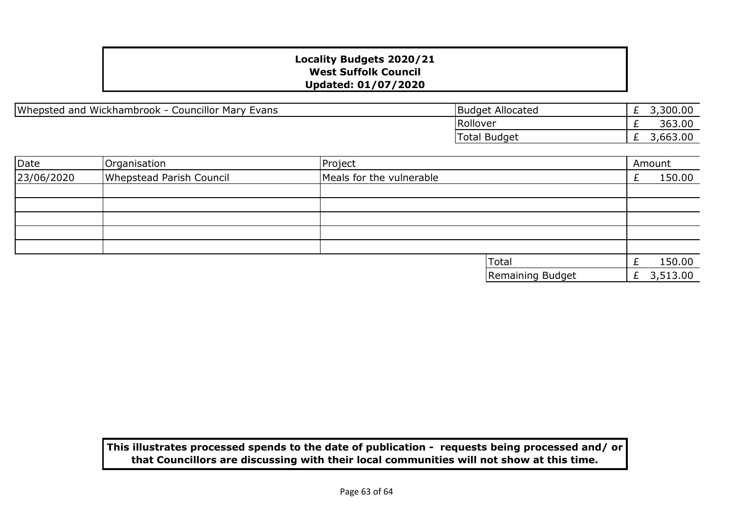Whepsted and Wickhambrook - Councillor Mary Evans

| <b>Budget Allocated</b> | 3,300.00 |
|-------------------------|----------|
| Rollover                | 363.00   |
| Total Budget            | 3,663.00 |

| Date       | Organisation             | Project                  |  |                  | Amount     |
|------------|--------------------------|--------------------------|--|------------------|------------|
| 23/06/2020 | Whepstead Parish Council | Meals for the vulnerable |  |                  | 150.00     |
|            |                          |                          |  |                  |            |
|            |                          |                          |  |                  |            |
|            |                          |                          |  |                  |            |
|            |                          |                          |  |                  |            |
|            |                          |                          |  |                  |            |
|            |                          |                          |  | <b>Total</b>     | 150.00     |
|            |                          |                          |  | Remaining Budget | £ 3,513.00 |